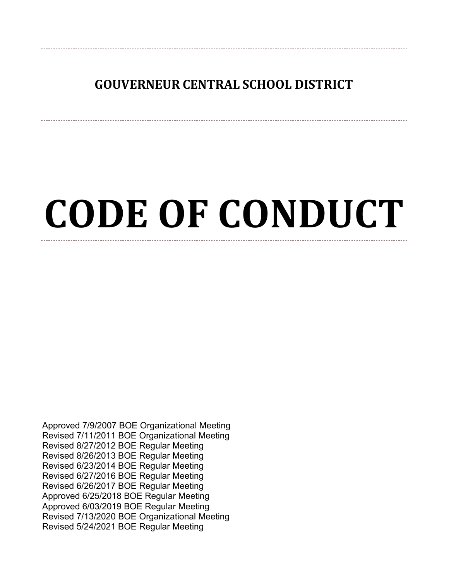## **GOUVERNEUR CENTRAL SCHOOL DISTRICT**

# **CODE OF CONDUCT**

Approved 7/9/2007 BOE Organizational Meeting Revised 7/11/2011 BOE Organizational Meeting Revised 8/27/2012 BOE Regular Meeting Revised 8/26/2013 BOE Regular Meeting Revised 6/23/2014 BOE Regular Meeting Revised 6/27/2016 BOE Regular Meeting Revised 6/26/2017 BOE Regular Meeting Approved 6/25/2018 BOE Regular Meeting Approved 6/03/2019 BOE Regular Meeting Revised 7/13/2020 BOE Organizational Meeting Revised 5/24/2021 BOE Regular Meeting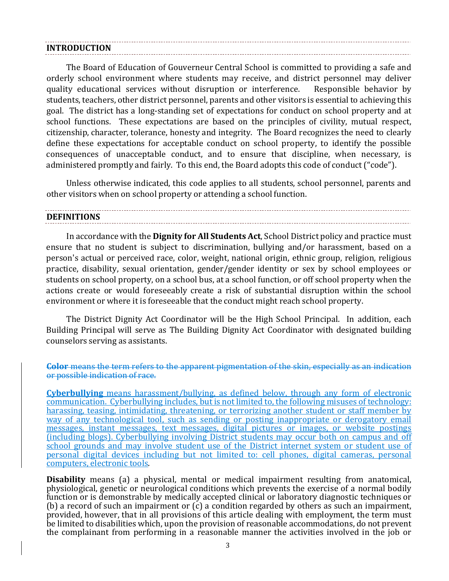#### **INTRODUCTION**

The Board of Education of Gouverneur Central School is committed to providing a safe and orderly school environment where students may receive, and district personnel may deliver quality educational services without disruption or interference. Responsible behavior by students, teachers, other district personnel, parents and other visitors is essential to achieving this goal. The district has a long-standing set of expectations for conduct on school property and at school functions. These expectations are based on the principles of civility, mutual respect, citizenship, character, tolerance, honesty and integrity. The Board recognizes the need to clearly define these expectations for acceptable conduct on school property, to identify the possible consequences of unacceptable conduct, and to ensure that discipline, when necessary, is administered promptly and fairly. To this end, the Board adopts this code of conduct ("code").

Unless otherwise indicated, this code applies to all students, school personnel, parents and other visitors when on school property or attending a school function.

## **DEFINITIONS**

In accordance with the **Dignity for All Students Act**, School District policy and practice must ensure that no student is subject to discrimination, bullying and/or harassment, based on a person's actual or perceived race, color, weight, national origin, ethnic group, religion, religious practice, disability, sexual orientation, gender/gender identity or sex by school employees or students on school property, on a school bus, at a school function, or off school property when the actions create or would foreseeably create a risk of substantial disruption within the school environment or where it is foreseeable that the conduct might reach school property.

The District Dignity Act Coordinator will be the High School Principal. In addition, each Building Principal will serve as The Building Dignity Act Coordinator with designated building counselors serving as assistants.

#### **Color** means the term refers to the apparent pigmentation of the skin, especially as an indication or possible indication of race.

**Cyberbullying** means harassment/bullying, as defined below, through any form of electronic communication. Cyberbullying includes, but is not limited to, the following misuses of technology: harassing, teasing, intimidating, threatening, or terrorizing another student or staff member by way of any technological tool, such as sending or posting inappropriate or derogatory email messages, instant messages, text messages, digital pictures or images, or website postings (including blogs). Cyberbullying involving District students may occur both on campus and off school grounds and may involve student use of the District internet system or student use of personal digital devices including but not limited to: cell phones, digital cameras, personal computers, electronic tools.

**Disability** means (a) a physical, mental or medical impairment resulting from anatomical, physiological, genetic or neurological conditions which prevents the exercise of a normal bodily function or is demonstrable by medically accepted clinical or laboratory diagnostic techniques or (b) a record of such an impairment or (c) a condition regarded by others as such an impairment, provided, however, that in all provisions of this article dealing with employment, the term must be limited to disabilities which, upon the provision of reasonable accommodations, do not prevent the complainant from performing in a reasonable manner the activities involved in the job or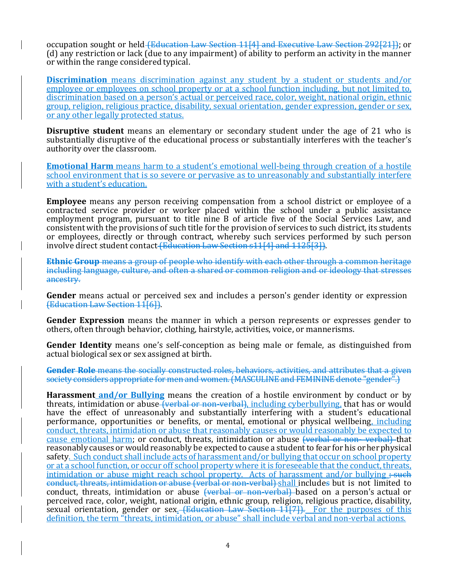occupation sought or held (Education Law Section 11[4] and Executive Law Section 292[21]); or (d) any restriction or lack (due to any impairment) of ability to perform an activity in the manner or within the range considered typical.

**Discrimination** means discrimination against any student by a student or students and/or employee or employees on school property or at a school function including, but not limited to, discrimination based on a person's actual or perceived race, color, weight, national origin, ethnic group, religion, religious practice, disability, sexual orientation, gender expression, gender or sex, or any other legally protected status.

**Disruptive student** means an elementary or secondary student under the age of 21 who is substantially disruptive of the educational process or substantially interferes with the teacher's authority over the classroom.

**Emotional Harm** means harm to a student's emotional well-being through creation of a hostile school environment that is so severe or pervasive as to unreasonably and substantially interfere with a student's education.

**Employee** means any person receiving compensation from a school district or employee of a contracted service provider or worker placed within the school under a public assistance employment program, pursuant to title nine B of article five of the Social Services Law, and consistent with the provisions of such title for the provision of services to such district, its students or employees, directly or through contract, whereby such services performed by such person involve direct student contact (Education Law Section s11[4] and 1125[3]).

**Ethnic Group** means a group of people who identify with each other through a common heritage including language, culture, and often a shared or common religion and or ideology that stresses ancestry.

**Gender** means actual or perceived sex and includes a person's gender identity or expression (Education Law Section 11[6]).

**Gender Expression** means the manner in which a person represents or expresses gender to others, often through behavior, clothing, hairstyle, activities, voice, or mannerisms.

**Gender Identity** means one's self-conception as being male or female, as distinguished from actual biological sex or sex assigned at birth.

**Gender Role** means the socially constructed roles, behaviors, activities, and attributes that a given society considers appropriate for men and women. (MASCULINE and FEMININE denote "gender".)

**Harassment and/or Bullying** means the creation of a hostile environment by conduct or by threats, intimidation or abuse (verbal or non-verbal), including cyberbullying, that has or would have the effect of unreasonably and substantially interfering with a student's educational performance, opportunities or benefits, or mental, emotional or physical wellbeing, including conduct, threats, intimidation or abuse that reasonably causes or would reasonably be expected to cause emotional harm; or conduct, threats, intimidation or abuse (verbal or non-verbal) that reasonably causes or would reasonably be expected to cause a student to fear for his or her physical safety. Such conduct shall include acts of harassment and/or bullying that occur on school property or at a school function, or occur off school property where it is foreseeable that the conduct, threats, intimidation or abuse might reach school property. Acts of harassment and/or bullying  $\div$  such conduct, threats, intimidation or abuse (verbal or non-verbal) shall includes but is not limited to conduct, threats, intimidation or abuse (verbal or non-verbal) based on a person's actual or perceived race, color, weight, national origin, ethnic group, religion, religious practice, disability, sexual orientation, gender or sex.  $\leftarrow$  Education Law Section 11<sup>[7]</sup>). For the purposes of this definition, the term "threats, intimidation, or abuse" shall include verbal and non-verbal actions.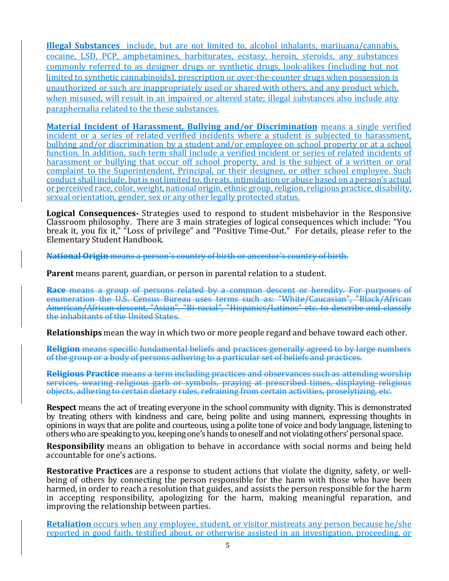**Illegal Substances** include, but are not limited to, alcohol inhalants, marijuana/cannabis, cocaine, LSD, PCP, amphetamines, barbiturates, ecstasy, heroin, steroids, any substances commonly referred to as designer drugs or synthetic drugs, look-alikes (including but not limited to synthetic cannabinoids), prescription or over-the-counter drugs when possession is unauthorized or such are inappropriately used or shared with others, and any product which, when misused, will result in an impaired or altered state; illegal substances also include any paraphernalia related to the these substances.

**Material Incident of Harassment, Bullying and/or Discrimination** means a single verified incident or a series of related verified incidents where a student is subjected to harassment, bullying and/or discrimination by a student and/or employee on school property or at a school function. In addition, such term shall include a verified incident or series of related incidents of harassment or bullying that occur off school property, and is the subject of a written or oral complaint to the Superintendent, Principal, or their designee, or other school employee. Such conduct shall include, but is not limited to, threats, intimidation or abuse based on a person's actual or perceived race, color, weight, national origin, ethnic group, religion, religious practice, disability, sexual orientation, gender, sex or any other legally protected status.

Logical Consequences - Strategies used to respond to student misbehavior in the Responsive Classroom philosophy. There are 3 main strategies of logical consequences which include: "You break it, you fix it," "Loss of privilege" and "Positive Time-Out." For details, please refer to the Elementary Student Handbook.

**National Origin** means a person's country of birth or ancestor's country of birth.

**Parent** means parent, guardian, or person in parental relation to a student.

**Race** means a group of persons related by a common descent or heredity. For purposes of enumeration the U.S. Census Bureau uses terms such as: "White/Caucasian", "Black/African American/African-descent, "Asian", "Bi-racial", "Hispanics/Latinos" etc. to describe and classify the inhabitants of the United States.

**Relationships** mean the way in which two or more people regard and behave toward each other.

**Religion** means specific fundamental beliefs and practices generally agreed to by large numbers of the group or a body of persons adhering to a particular set of beliefs and practices.

**Religious Practice** means a term including practices and observances such as attending worship services, wearing religious garb or symbols, praying at prescribed times, displaying religious objects, adhering to certain dietary rules, refraining from certain activities, proselytizing, etc.

**Respect** means the act of treating everyone in the school community with dignity. This is demonstrated by treating others with kindness and care, being polite and using manners, expressing thoughts in opinions in ways that are polite and courteous, using a polite tone of voice and body language, listening to others who are speaking to you, keeping one's hands to oneself and not violating others' personal space.

**Responsibility** means an obligation to behave in accordance with social norms and being held accountable for one's actions.

**Restorative Practices** are a response to student actions that violate the dignity, safety, or wellbeing of others by connecting the person responsible for the harm with those who have been harmed, in order to reach a resolution that guides, and assists the person responsible for the harm in accepting responsibility, apologizing for the harm, making meaningful reparation, and improving the relationship between parties.

**Retaliation** occurs when any employee, student, or visitor mistreats any person because he/she reported in good faith, testified about, or otherwise assisted in an investigation, proceeding, or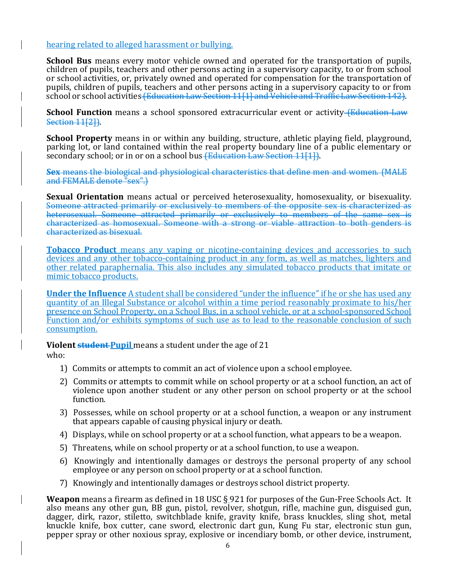#### hearing related to alleged harassment or bullying.

**School Bus** means every motor vehicle owned and operated for the transportation of pupils, children of pupils, teachers and other persons acting in a supervisory capacity, to or from school or school activities, or, privately owned and operated for compensation for the transportation of pupils, children of pupils, teachers and other persons acting in a supervisory capacity to or from school or school activities (Education Law Section 11[1] and Vehicle and Traffic Law Section 142).

**School Function** means a school sponsored extracurricular event or activity (Education Law Section 11[2]).

**School Property** means in or within any building, structure, athletic playing field, playground, parking lot, or land contained within the real property boundary line of a public elementary or secondary school; or in or on a school bus (Education Law Section 11[1]).

**Sex** means the biological and physiological characteristics that define men and women. (MALE and FEMALE denote "sex".)

**Sexual Orientation** means actual or perceived heterosexuality, homosexuality, or bisexuality. Someone attracted primarily or exclusively to members of the opposite sex is characterized as heterosexual. Someone attracted primarily or exclusively to members of the same sex is characterized as homosexual. Someone with a strong or viable attraction to both genders is characterized as bisexual.

**Tobacco Product** means any vaping or nicotine-containing devices and accessories to such devices and any other tobacco-containing product in any form, as well as matches, lighters and other related paraphernalia. This also includes any simulated tobacco products that imitate or mimic tobacco products.

**Under the Influence** A student shall be considered "under the influence" if he or she has used any quantity of an Illegal Substance or alcohol within a time period reasonably proximate to his/her presence on School Property, on a School Bus, in a school vehicle, or at a school-sponsored School Function and/or exhibits symptoms of such use as to lead to the reasonable conclusion of such consumption.

**Violent student Pupil** means a student under the age of 21 who:

- 1) Commits or attempts to commit an act of violence upon a school employee.
- 2) Commits or attempts to commit while on school property or at a school function, an act of violence upon another student or any other person on school property or at the school function.
- 3) Possesses, while on school property or at a school function, a weapon or any instrument that appears capable of causing physical injury or death.
- 4) Displays, while on school property or at a school function, what appears to be a weapon.
- 5) Threatens, while on school property or at a school function, to use a weapon.
- 6) Knowingly and intentionally damages or destroys the personal property of any school employee or any person on school property or at a school function.
- 7) Knowingly and intentionally damages or destroys school district property.

**Weapon** means a firearm as defined in 18 USC § 921 for purposes of the Gun-Free Schools Act. It also means any other gun, BB gun, pistol, revolver, shotgun, rifle, machine gun, disguised gun, dagger, dirk, razor, stiletto, switchblade knife, gravity knife, brass knuckles, sling shot, metal knuckle knife, box cutter, cane sword, electronic dart gun, Kung Fu star, electronic stun gun, pepper spray or other noxious spray, explosive or incendiary bomb, or other device, instrument,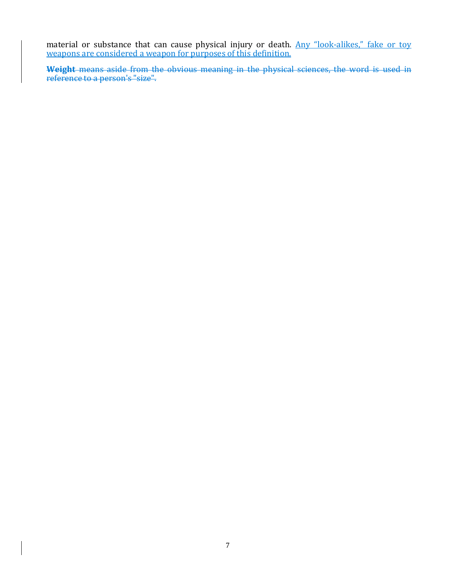material or substance that can cause physical injury or death. Any "look-alikes," fake or toy weapons are considered a weapon for purposes of this definition.

**Weight** means aside from the obvious meaning in the physical sciences, the word is used in reference to a person's "size".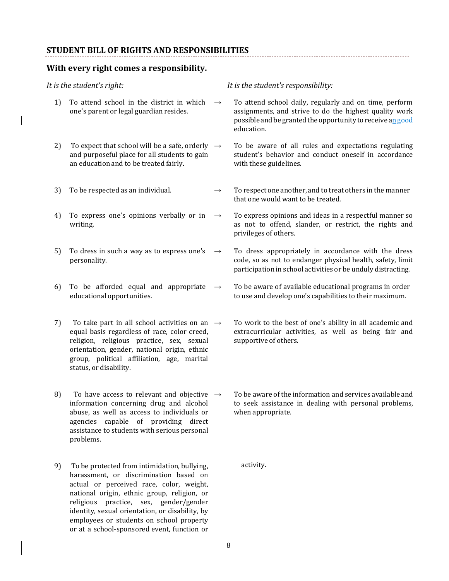#### **STUDENT BILL OF RIGHTS AND RESPONSIBILITIES**

#### **With every right comes a responsibility.**

- 1) To attend school in the district in which one's parent or legal guardian resides.
- 2) To expect that school will be a safe, orderly  $\rightarrow$ and purposeful place for all students to gain an education and to be treated fairly.
- 
- 4) To express one's opinions verbally or in  $\rightarrow$ writing.
- 5) To dress in such a way as to express one's personality.
- 6) To be afforded equal and appropriate educational opportunities.
- 7) To take part in all school activities on an  $\rightarrow$ equal basis regardless of race, color creed, religion, religious practice, sex, sexual orientation, gender, national origin, ethnic group, political affiliation, age, marital status, or disability.
- 8) To have access to relevant and objective  $\rightarrow$ information concerning drug and alcohol abuse, as well as access to individuals or agencies capable of providing direct assistance to students with serious personal problems.
- 9) To be protected from intimidation, bullying, harassment, or discrimination based on actual or perceived race, color, weight, national origin, ethnic group, religion, or religious practice, sex, gender/gender identity, sexual orientation, or disability, by employees or students on school property or at a school-sponsored event, function or

#### *It is the student's right: It is the student's responsibility:*

- $\rightarrow$  To attend school daily, regularly and on time, perform assignments, and strive to do the highest quality work possible and be granted the opportunity to receive an good education.
- To be aware of all rules and expectations regulating student's behavior and conduct oneself in accordance with these guidelines.
- 3) To be respected as an individual.  $\rightarrow$  To respect one another, and to treat others in the manner that one would want to be treated.
	- To express opinions and ideas in a respectful manner so as not to offend, slander, or restrict, the rights and privileges of others.
	- $\rightarrow$  To dress appropriately in accordance with the dress code, so as not to endanger physical health, safety, limit participation in school activities or be unduly distracting.
	- $\rightarrow$  To be aware of available educational programs in order to use and develop one's capabilities to their maximum.
		- To work to the best of one's ability in all academic and extracurricular activities, as well as being fair and supportive of others.
		- To be aware of the information and services available and to seek assistance in dealing with personal problems, when appropriate.

activity.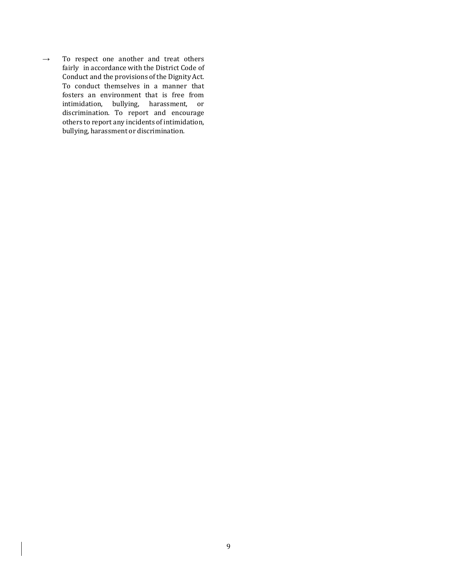$\rightarrow$  To respect one another and treat others fairly in accordance with the District Code of Conduct and the provisions of the Dignity Act. To conduct themselves in a manner that fosters an environment that is free from intimidation, bullying, harassment, or discrimination. To report and encourage others to report any incidents of intimidation, bullying, harassment or discrimination.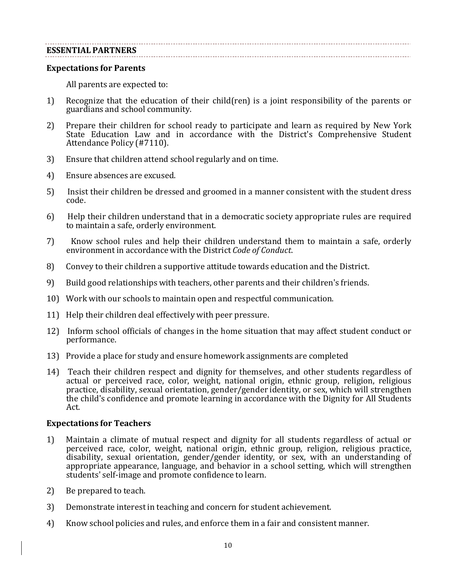#### **ESSENTIAL PARTNERS**

#### **Expectations for Parents**

All parents are expected to:

- 1) Recognize that the education of their child(ren) is a joint responsibility of the parents or guardians and school community.
- 2) Prepare their children for school ready to participate and learn as required by New York State Education Law and in accordance with the District's Comprehensive Student Attendance Policy (#7110).
- 3) Ensure that children attend school regularly and on time.
- 4) Ensure absences are excused.
- 5) Insist their children be dressed and groomed in a manner consistent with the student dress code.
- 6) Help their children understand that in a democratic society appropriate rules are required to maintain a safe, orderly environment.
- 7) Know school rules and help their children understand them to maintain a safe, orderly environment in accordance with the District *Code of Conduct*.
- 8) Convey to their children a supportive attitude towards education and the District.
- 9) Build good relationships with teachers, other parents and their children's friends.
- 10) Work with our schools to maintain open and respectful communication.
- 11) Help their children deal effectively with peer pressure.
- 12) Inform school officials of changes in the home situation that may affect student conduct or performance.
- 13) Provide a place for study and ensure homework assignments are completed
- 14) Teach their children respect and dignity for themselves, and other students regardless of actual or perceived race, color, weight, national origin, ethnic group, religion, religious practice, disability, sexual orientation, gender/gender identity, or sex, which will strengthen the child's confidence and promote learning in accordance with the Dignity for All Students Act.

#### **Expectations for Teachers**

- 1) Maintain a climate of mutual respect and dignity for all students regardless of actual or perceived race, color, weight, national origin, ethnic group, religion, religious practice, disability, sexual orientation, gender/gender identity, or sex, with an understanding of appropriate appearance, language, and behavior in a school setting, which will strengthen students' self-image and promote confidence to learn.
- 2) Be prepared to teach.
- 3) Demonstrate interest in teaching and concern for student achievement.
- 4) Know school policies and rules, and enforce them in a fair and consistent manner.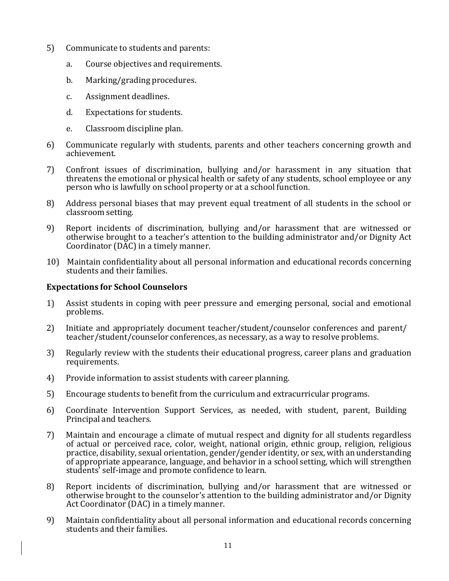- 5) Communicate to students and parents:
	- a. Course objectives and requirements.
	- b. Marking/grading procedures.
	- c. Assignment deadlines.
	- d. Expectations for students.
	- e. Classroom discipline plan.
- 6) Communicate regularly with students, parents and other teachers concerning growth and achievement.
- 7) Confront issues of discrimination, bullying and/or harassment in any situation that threatens the emotional or physical health or safety of any students, school employee or any person who is lawfully on school property or at a school function.
- 8) Address personal biases that may prevent equal treatment of all students in the school or classroom setting.
- 9) Report incidents of discrimination, bullying and/or harassment that are witnessed or otherwise brought to a teacher's attention to the building administrator and/or Dignity Act Coordinator (DAC) in a timely manner.
- 10) Maintain confidentiality about all personal information and educational records concerning students and their families.

#### **Expectations for School Counselors**

- 1) Assist students in coping with peer pressure and emerging personal, social and emotional problems.
- 2) Initiate and appropriately document teacher/student/counselor conferences and parent/ teacher/student/counselor conferences, as necessary, as a way to resolve problems.
- 3) Regularly review with the students their educational progress, career plans and graduation requirements.
- 4) Provide information to assist students with career planning.
- 5) Encourage students to benefit from the curriculum and extracurricular programs.
- 6) Coordinate Intervention Support Services, as needed, with student, parent, Building Principal and teachers.
- 7) Maintain and encourage a climate of mutual respect and dignity for all students regardless of actual or perceived race, color, weight, national origin, ethnic group, religion, religious practice, disability, sexual orientation, gender/gender identity, or sex, with an understanding of appropriate appearance, language, and behavior in a school setting, which will strengthen students' self-image and promote confidence to learn.
- 8) Report incidents of discrimination, bullying and/or harassment that are witnessed or otherwise brought to the counselor's attention to the building administrator and/or Dignity Act Coordinator (DAC) in a timely manner.
- 9) Maintain confidentiality about all personal information and educational records concerning students and their families.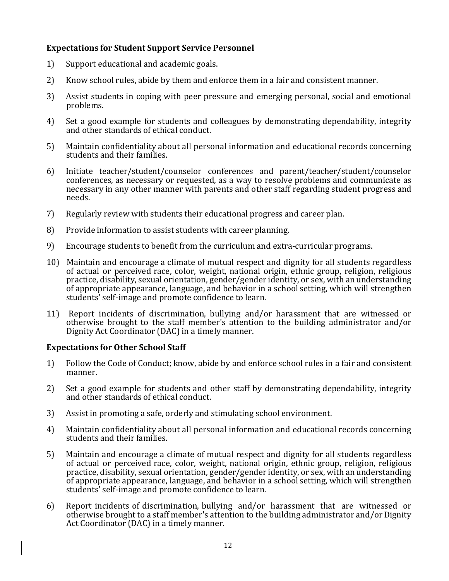#### **Expectations for Student Support Service Personnel**

- 1) Support educational and academic goals.
- 2) Know school rules, abide by them and enforce them in a fair and consistent manner.
- 3) Assist students in coping with peer pressure and emerging personal, social and emotional problems.
- 4) Set a good example for students and colleagues by demonstrating dependability, integrity and other standards of ethical conduct.
- 5) Maintain confidentiality about all personal information and educational records concerning students and their families.
- 6) Initiate teacher/student/counselor conferences and parent/teacher/student/counselor conferences, as necessary or requested, as a way to resolve problems and communicate as necessary in any other manner with parents and other staff regarding student progress and needs.
- 7) Regularly review with students their educational progress and career plan.
- 8) Provide information to assist students with career planning.
- 9) Encourage students to benefit from the curriculum and extra-curricular programs.
- 10) Maintain and encourage a climate of mutual respect and dignity for all students regardless of actual or perceived race, color, weight, national origin, ethnic group, religion, religious practice, disability, sexual orientation, gender/gender identity, or sex, with an understanding of appropriate appearance, language, and behavior in a school setting, which will strengthen students' self-image and promote confidence to learn.
- 11) Report incidents of discrimination, bullying and/or harassment that are witnessed or otherwise brought to the staff member's attention to the building administrator and/or Dignity Act Coordinator (DAC) in a timely manner.

#### **Expectations for Other School Staff**

- 1) Follow the Code of Conduct; know, abide by and enforce school rules in a fair and consistent manner.
- 2) Set a good example for students and other staff by demonstrating dependability, integrity and other standards of ethical conduct.
- 3) Assist in promoting a safe, orderly and stimulating school environment.
- 4) Maintain confidentiality about all personal information and educational records concerning students and their families.
- 5) Maintain and encourage a climate of mutual respect and dignity for all students regardless of actual or perceived race, color, weight, national origin, ethnic group, religion, religious practice, disability, sexual orientation, gender/gender identity, or sex, with an understanding of appropriate appearance, language, and behavior in a school setting, which will strengthen students' self-image and promote confidence to learn.
- 6) Report incidents of discrimination, bullying and/or harassment that are witnessed or otherwise brought to a staff member's attention to the building administrator and/or Dignity Act Coordinator (DAC) in a timely manner.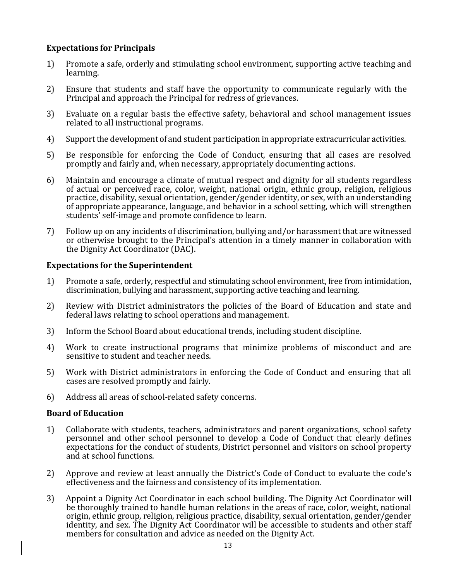#### **Expectations for Principals**

- 1) Promote a safe, orderly and stimulating school environment, supporting active teaching and learning.
- 2) Ensure that students and staff have the opportunity to communicate regularly with the Principal and approach the Principal for redress of grievances.
- 3) Evaluate on a regular basis the effective safety, behavioral and school management issues related to all instructional programs.
- 4) Support the development of and student participation in appropriate extracurricular activities.
- 5) Be responsible for enforcing the Code of Conduct, ensuring that all cases are resolved promptly and fairly and, when necessary, appropriately documenting actions.
- 6) Maintain and encourage a climate of mutual respect and dignity for all students regardless of actual or perceived race, color, weight, national origin, ethnic group, religion, religious practice, disability, sexual orientation, gender/gender identity, or sex, with an understanding of appropriate appearance, language, and behavior in a school setting, which will strengthen students' self-image and promote confidence to learn.
- 7) Follow up on any incidents of discrimination, bullying and/or harassment that are witnessed or otherwise brought to the Principal's attention in a timely manner in collaboration with the Dignity Act Coordinator (DAC).

#### **Expectations for the Superintendent**

- 1) Promote a safe, orderly, respectful and stimulating school environment, free from intimidation, discrimination, bullying and harassment, supporting active teaching and learning.
- 2) Review with District administrators the policies of the Board of Education and state and federal laws relating to school operations and management.
- 3) Inform the School Board about educational trends, including student discipline.
- 4) Work to create instructional programs that minimize problems of misconduct and are sensitive to student and teacher needs.
- 5) Work with District administrators in enforcing the Code of Conduct and ensuring that all cases are resolved promptly and fairly.
- 6) Address all areas of school-related safety concerns.

#### **Board of Education**

- 1) Collaborate with students, teachers, administrators and parent organizations, school safety personnel and other school personnel to develop a Code of Conduct that clearly defines expectations for the conduct of students, District personnel and visitors on school property and at school functions.
- 2) Approve and review at least annually the District's Code of Conduct to evaluate the code's effectiveness and the fairness and consistency of its implementation.
- 3) Appoint a Dignity Act Coordinator in each school building. The Dignity Act Coordinator will be thoroughly trained to handle human relations in the areas of race, color, weight, national origin, ethnic group, religion, religious practice, disability, sexual orientation, gender/gender identity, and sex. The Dignity Act Coordinator will be accessible to students and other staff members for consultation and advice as needed on the Dignity Act.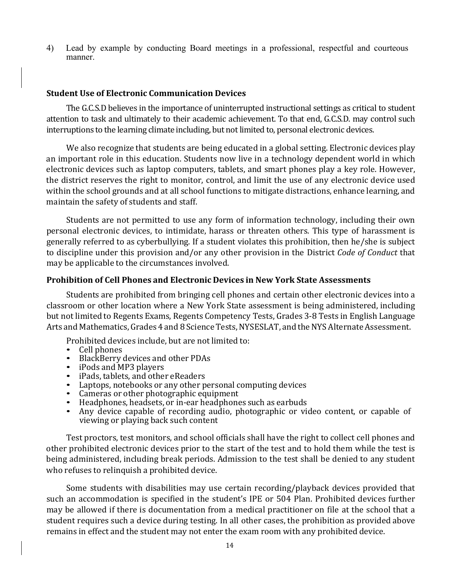4) Lead by example by conducting Board meetings in a professional, respectful and courteous manner.

#### **Student Use of Electronic Communication Devices**

The G.C.S.D believes in the importance of uninterrupted instructional settings as critical to student attention to task and ultimately to their academic achievement. To that end, G.C.S.D. may control such interruptions to the learning climate including, but not limited to, personal electronic devices.

We also recognize that students are being educated in a global setting. Electronic devices play an important role in this education. Students now live in a technology dependent world in which electronic devices such as laptop computers, tablets, and smart phones play a key role. However, the district reserves the right to monitor, control, and limit the use of any electronic device used within the school grounds and at all school functions to mitigate distractions, enhance learning, and maintain the safety of students and staff.

Students are not permitted to use any form of information technology, including their own personal electronic devices, to intimidate, harass or threaten others. This type of harassment is generally referred to as cyberbullying. If a student violates this prohibition, then he/she is subject to discipline under this provision and/or any other provision in the District *Code of Conduct* that may be applicable to the circumstances involved.

#### **Prohibition of Cell Phones and Electronic Devices in New York State Assessments**

Students are prohibited from bringing cell phones and certain other electronic devices into a classroom or other location where a New York State assessment is being administered, including but not limited to Regents Exams, Regents Competency Tests, Grades 3-8 Tests in English Language Arts and Mathematics, Grades 4 and 8 Science Tests, NYSESLAT, and the NYS Alternate Assessment.

Prohibited devices include, but are not limited to:<br>• Cell phones

- 
- 
- 
- 
- 
- 
- 
- BlackBerry devices and other PDAs<br>• iPods and MP3 players<br>• iPads, tablets, and other eReaders<br>• Laptops, notebooks or any other personal computing devices<br>• Cameras or other photographic equipment<br>• Headphones, headsets viewing or playing back such content

Test proctors, test monitors, and school officials shall have the right to collect cell phones and other prohibited electronic devices prior to the start of the test and to hold them while the test is being administered, including break periods. Admission to the test shall be denied to any student who refuses to relinquish a prohibited device.

Some students with disabilities may use certain recording/playback devices provided that such an accommodation is specified in the student's IPE or 504 Plan. Prohibited devices further may be allowed if there is documentation from a medical practitioner on file at the school that a student requires such a device during testing. In all other cases, the prohibition as provided above remains in effect and the student may not enter the exam room with any prohibited device.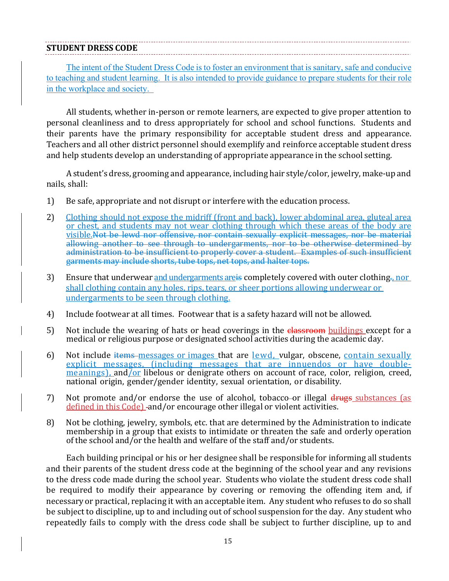#### **STUDENT DRESS CODE**

The intent of the Student Dress Code is to foster an environment that is sanitary, safe and conducive to teaching and student learning. It is also intended to provide guidance to prepare students for their role in the workplace and society.

All students, whether in-person or remote learners, are expected to give proper attention to personal cleanliness and to dress appropriately for school and school functions. Students and their parents have the primary responsibility for acceptable student dress and appearance. Teachers and all other district personnel should exemplify and reinforce acceptable student dress and help students develop an understanding of appropriate appearance in the school setting.

A student's dress, grooming and appearance, including hair style/color, jewelry, make-up and nails, shall:

- 1) Be safe, appropriate and not disrupt or interfere with the education process.
- 2) Clothing should not expose the midriff (front and back), lower abdominal area, gluteal area or chest, and students may not wear clothing through which these areas of the body are visible.Not be lewd nor offensive, nor contain sexually explicit messages, nor be material allowing another to see through to undergarments, nor to be otherwise determined by administration to be insufficient to properly cover a student. Examples of such insufficient garments may include shorts, tube tops, net tops, and halter tops.
- 3) Ensure that underwear and undergarments are is completely covered with outer clothing. nor shall clothing contain any holes, rips, tears, or sheer portions allowing underwear or undergarments to be seen through clothing.
- 4) Include footwear at all times. Footwear that is a safety hazard will not be allowed.
- 5) Not include the wearing of hats or head coverings in the elassroom buildings except for a medical or religious purpose or designated school activities during the academic day.
- 6) Not include items messages or images that are lewd, vulgar, obscene, contain sexually explicit messages, (including messages that are innuendos or have doublemeanings), and/or libelous or denigrate others on account of race, color, religion, creed, national origin, gender/gender identity, sexual orientation, or disability.
- 7) Not promote and/or endorse the use of alcohol, tobacco-or illegal drugs substances (as defined in this Code) -and/or encourage other illegal or violent activities.
- 8) Not be clothing, jewelry, symbols, etc. that are determined by the Administration to indicate membership in a group that exists to intimidate or threaten the safe and orderly operation of the school and/or the health and welfare of the staff and/or students.

Each building principal or his or her designee shall be responsible for informing all students and their parents of the student dress code at the beginning of the school year and any revisions to the dress code made during the school year. Students who violate the student dress code shall be required to modify their appearance by covering or removing the offending item and, if necessary or practical, replacing it with an acceptable item. Any student who refuses to do so shall be subject to discipline, up to and including out of school suspension for the day. Any student who repeatedly fails to comply with the dress code shall be subject to further discipline, up to and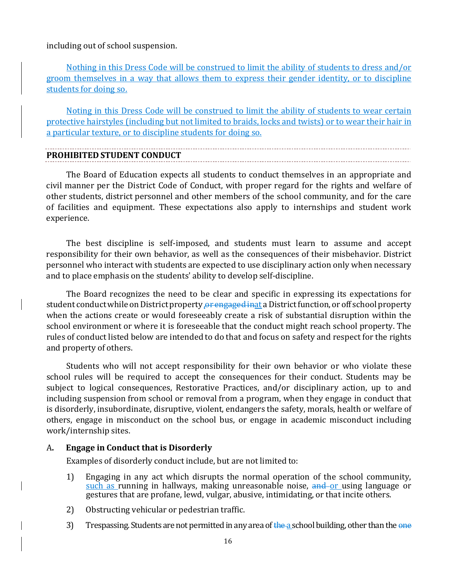including out of school suspension.

Nothing in this Dress Code will be construed to limit the ability of students to dress and/or groom themselves in a way that allows them to express their gender identity, or to discipline students for doing so.

Noting in this Dress Code will be construed to limit the ability of students to wear certain protective hairstyles (including but not limited to braids, locks and twists) or to wear their hair in a particular texture, or to discipline students for doing so.

## **PROHIBITED STUDENT CONDUCT**

The Board of Education expects all students to conduct themselves in an appropriate and civil manner per the District Code of Conduct, with proper regard for the rights and welfare of other students, district personnel and other members of the school community, and for the care of facilities and equipment. These expectations also apply to internships and student work experience.

The best discipline is self-imposed, and students must learn to assume and accept responsibility for their own behavior, as well as the consequences of their misbehavior. District personnel who interact with students are expected to use disciplinary action only when necessary and to place emphasis on the students' ability to develop self-discipline.

The Board recognizes the need to be clear and specific in expressing its expectations for student conduct while on District property or engaged inat a District function, or off school property when the actions create or would foreseeably create a risk of substantial disruption within the school environment or where it is foreseeable that the conduct might reach school property. The rules of conduct listed below are intended to do that and focus on safety and respect for the rights and property of others.

Students who will not accept responsibility for their own behavior or who violate these school rules will be required to accept the consequences for their conduct. Students may be subject to logical consequences, Restorative Practices, and/or disciplinary action, up to and including suspension from school or removal from a program, when they engage in conduct that is disorderly, insubordinate, disruptive, violent, endangers the safety, morals, health or welfare of others, engage in misconduct on the school bus, or engage in academic misconduct including work/internship sites.

#### A**. Engage in Conduct that is Disorderly**

Examples of disorderly conduct include, but are not limited to:

- 1) Engaging in any act which disrupts the normal operation of the school community, such as running in hallways, making unreasonable noise, and or using language or gestures that are profane, lewd, vulgar, abusive, intimidating, or that incite others.
- 2) Obstructing vehicular or pedestrian traffic.
- 3) Trespassing. Students are not permitted in any area of the a school building, other than the  $\theta$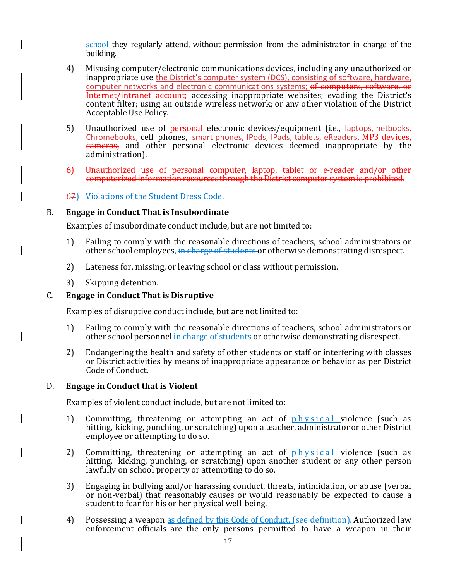school they regularly attend, without permission from the administrator in charge of the building.

- 4) Misusing computer/electronic communications devices, including any unauthorized or inappropriate use the District's computer system (DCS), consisting of software, hardware, computer networks and electronic communications systems; of computers, software, or Internet/intranet account; accessing inappropriate websites; evading the District's content filter; using an outside wireless network; or any other violation of the District Acceptable Use Policy.
- 5) Unauthorized use of personal electronic devices/equipment (i.e., laptops, netbooks, Chromebooks, cell phones, smart phones, IPods, IPads, tablets, eReaders, MP3 devices, cameras, and other personal electronic devices deemed inappropriate by the administration).
- 6) Unauthorized use of personal computer, laptop, tablet or e-reader and/or other computerized information resources through the District computer system is prohibited.

67) Violations of the Student Dress Code.

#### B. **Engage in Conduct That is Insubordinate**

Examples of insubordinate conduct include, but are not limited to:

- 1) Failing to comply with the reasonable directions of teachers, school administrators or other school employees, in charge of students or otherwise demonstrating disrespect.
- 2) Lateness for, missing, or leaving school or class without permission.
- 3) Skipping detention.

#### C. **Engage in Conduct That is Disruptive**

Examples of disruptive conduct include, but are not limited to:

- 1) Failing to comply with the reasonable directions of teachers, school administrators or other school personnel in charge of students or otherwise demonstrating disrespect.
- 2) Endangering the health and safety of other students or staff or interfering with classes or District activities by means of inappropriate appearance or behavior as per District Code of Conduct.

#### D. **Engage in Conduct that is Violent**

Examples of violent conduct include, but are not limited to:

- 1) Committing, threatening or attempting an act of *physical* violence (such as hitting, kicking, punching, or scratching) upon a teacher, administrator or other District employee or attempting to do so.
- 2) Committing, threatening or attempting an act of  $phvsical$  violence (such as hitting, kicking, punching, or scratching) upon another student or any other person lawfully on school property or attempting to do so.
- 3) Engaging in bullying and/or harassing conduct, threats, intimidation, or abuse (verbal or non-verbal) that reasonably causes or would reasonably be expected to cause a student to fear for his or her physical well-being.
- 4) Possessing a weapon as defined by this Code of Conduct. (see definition). Authorized law enforcement officials are the only persons permitted to have a weapon in their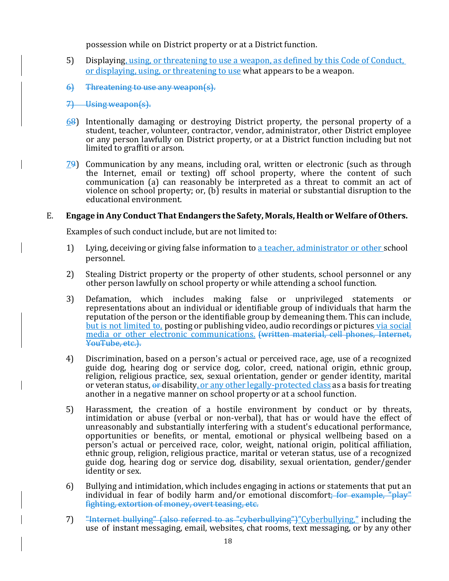possession while on District property or at a District function.

- 5) Displaying, using, or threatening to use a weapon, as defined by this Code of Conduct, or displaying, using, or threatening to use what appears to be a weapon.
- 6) Threatening to use any weapon(s).
- 7) Using weapon(s).
- 68) Intentionally damaging or destroying District property, the personal property of a student, teacher, volunteer, contractor, vendor, administrator, other District employee or any person lawfully on District property, or at a District function including but not limited to graffiti or arson.
- $79$ ) Communication by any means, including oral, written or electronic (such as through the Internet, email or texting) off school property, where the content of such communication (a) can reasonably be interpreted as a threat to commit an act of violence on school property; or, (b) results in material or substantial disruption to the educational environment.

#### E. **Engage in Any Conduct That Endangers the Safety, Morals, Healthor Welfare of Others.**

Examples of such conduct include, but are not limited to:

- 1) Lying, deceiving or giving false information to a teacher, administrator or other school personnel.
- 2) Stealing District property or the property of other students, school personnel or any other person lawfully on school property or while attending a school function.
- 3) Defamation, which includes making false or unprivileged statements or representations about an individual or identifiable group of individuals that harm the reputation of the person or the identifiable group by demeaning them. This can include, but is not limited to, posting or publishing video, audio recordings or pictures via social media or other electronic communications. (written material, cell phones, Internet, YouTube, etc.).
- 4) Discrimination, based on a person's actual or perceived race, age, use of a recognized guide dog, hearing dog or service dog, color, creed, national origin, ethnic group, religion, religious practice, sex, sexual orientation, gender or gender identity, marital or veteran status, or disability, or any other legally-protected class as a basis for treating another in a negative manner on school property or at a school function.
- 5) Harassment, the creation of a hostile environment by conduct or by threats, intimidation or abuse (verbal or non-verbal), that has or would have the effect of unreasonably and substantially interfering with a student's educational performance, opportunities or benefits, or mental, emotional or physical wellbeing based on a person's actual or perceived race, color, weight, national origin, political affiliation, ethnic group, religion, religious practice, marital or veteran status, use of a recognized guide dog, hearing dog or service dog, disability, sexual orientation, gender/gender identity or sex.
- 6) Bullying and intimidation, which includes engaging in actions or statements that put an individual in fear of bodily harm and/or emotional discomfort; for example,  $\frac{m}{n}$  blay fighting, extortion of money, overt teasing, etc.
- 7) "Internet bullying" (also referred to as "cyberbullying")"Cyberbullying," including the use of instant messaging, email, websites, chat rooms, text messaging, or by any other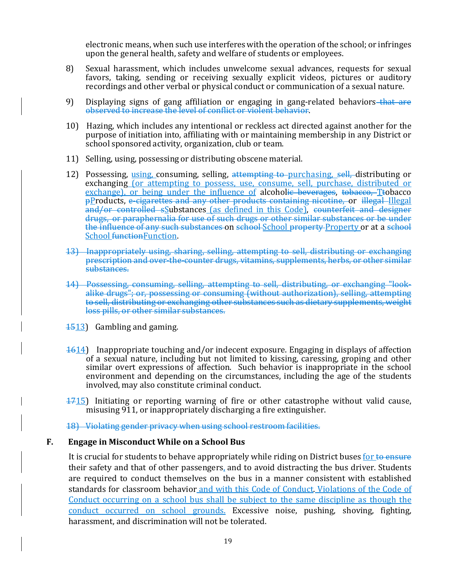electronic means, when such use interferes with the operation of the school; or infringes upon the general health, safety and welfare of students or employees.

- 8) Sexual harassment, which includes unwelcome sexual advances, requests for sexual favors, taking, sending or receiving sexually explicit videos, pictures or auditory recordings and other verbal or physical conduct or communication of a sexual nature.
- 9) Displaying signs of gang affiliation or engaging in gang-related behaviors that are observed to increase the level of conflict or violent behavior.
- 10) Hazing, which includes any intentional or reckless act directed against another for the purpose of initiation into, affiliating with or maintaining membership in any District or school sponsored activity, organization, club or team.
- 11) Selling, using, possessing or distributing obscene material.
- 12) Possessing, using, consuming, selling, attempting to purchasing, sell, distributing or exchanging (or attempting to possess, use, consume, sell, purchase, distributed or exchange), or being under the influence of alcoholic beverages, tobacco, Ttobacco pProducts, e-cigarettes and any other products containing nicotine, or illegal Illegal and/or controlled sSubstances (as defined in this Code), counterfeit and designer drugs, or paraphernalia for use of such drugs or other similar substances or be under the influence of any such substances on school-School property Property or at a school School functionFunction.
- 13) Inappropriately using, sharing, selling, attempting to sell, distributing or exchanging prescription and over-the-counter drugs, vitamins, supplements, herbs, or other similar substances.
- 14) Possessing, consuming, selling, attempting to sell, distributing, or exchanging "lookalike drugs"; or, possessing or consuming (without authorization), selling, attempting to sell, distributing or exchanging other substances such as dietary supplements, weight loss pills, or other similar substances.
- 1513) Gambling and gaming.
- 1614) Inappropriate touching and/or indecent exposure. Engaging in displays of affection of a sexual nature, including but not limited to kissing, caressing, groping and other similar overt expressions of affection. Such behavior is inappropriate in the school environment and depending on the circumstances, including the age of the students involved, may also constitute criminal conduct.
- 1715) Initiating or reporting warning of fire or other catastrophe without valid cause, misusing 911, or inappropriately discharging a fire extinguisher.

18) Violating gender privacy when using school restroom facilities.

#### **F. Engage in Misconduct While on a School Bus**

It is crucial for students to behave appropriately while riding on District buses for to ensure their safety and that of other passengers, and to avoid distracting the bus driver. Students are required to conduct themselves on the bus in a manner consistent with established standards for classroom behavior and with this Code of Conduct. Violations of the Code of Conduct occurring on a school bus shall be subject to the same discipline as though the conduct occurred on school grounds. Excessive noise, pushing, shoving, fighting, harassment, and discrimination will not be tolerated.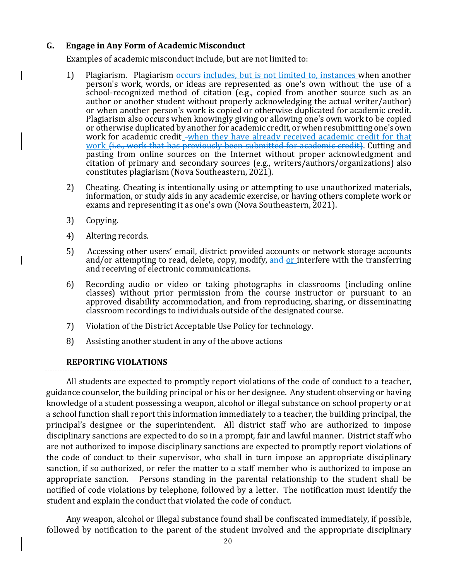#### **G. Engage in Any Form of Academic Misconduct**

Examples of academic misconduct include, but are not limited to:

- 1) Plagiarism. Plagiarism  $\theta$  occurs-includes, but is not limited to, instances when another person's work, words, or ideas are represented as one's own without the use of a school-recognized method of citation (e.g., copied from another source such as an author or another student without properly acknowledging the actual writer/author) or when another person's work is copied or otherwise duplicated for academic credit. Plagiarism also occurs when knowingly giving or allowing one's own work to be copied or otherwise duplicated by another for academic credit, or when resubmitting one's own work for academic credit\_-when they have already received academic credit for that work (i.e., work that has previously been submitted for academic credit). Cutting and pasting from online sources on the Internet without proper acknowledgment and citation of primary and secondary sources (e.g., writers/authors/organizations) also constitutes plagiarism (Nova Southeastern, 2021).
- 2) Cheating. Cheating is intentionally using or attempting to use unauthorized materials, information, or study aids in any academic exercise, or having others complete work or exams and representing it as one's own (Nova Southeastern, 2021).
- 3) Copying.
- 4) Altering records.
- 5) Accessing other users' email, district provided accounts or network storage accounts and/or attempting to read, delete, copy, modify, and or interfere with the transferring and receiving of electronic communications.
- 6) Recording audio or video or taking photographs in classrooms (including online classes) without prior permission from the course instructor or pursuant to an approved disability accommodation, and from reproducing, sharing, or disseminating classroom recordings to individuals outside of the designated course.

- 7) Violation of the District Acceptable Use Policy for technology.
- 8) Assisting another student in any of the above actions

#### **REPORTING VIOLATIONS**

All students are expected to promptly report violations of the code of conduct to a teacher, guidance counselor, the building principal or his or her designee. Any student observing or having knowledge of a student possessing a weapon, alcohol or illegal substance on school property or at a school function shall report this information immediately to a teacher, the building principal, the principal's designee or the superintendent. All district staff who are authorized to impose disciplinary sanctions are expected to do so in a prompt, fair and lawful manner. District staff who are not authorized to impose disciplinary sanctions are expected to promptly report violations of the code of conduct to their supervisor, who shall in turn impose an appropriate disciplinary sanction, if so authorized, or refer the matter to a staff member who is authorized to impose an appropriate sanction. Persons standing in the parental relationship to the student shall be notified of code violations by telephone, followed by a letter. The notification must identify the student and explain the conduct that violated the code of conduct.

Any weapon, alcohol or illegal substance found shall be confiscated immediately, if possible, followed by notification to the parent of the student involved and the appropriate disciplinary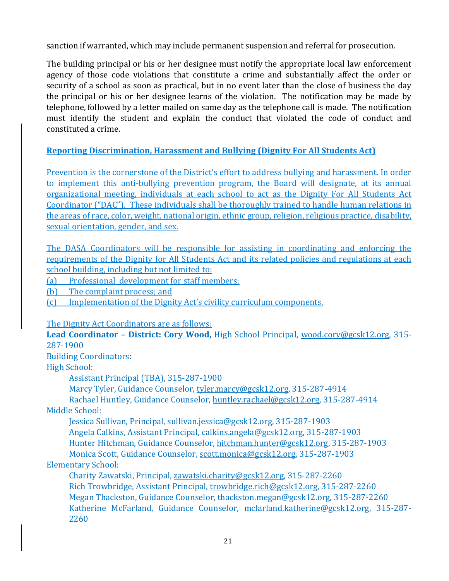sanction if warranted, which may include permanent suspension and referral for prosecution.

The building principal or his or her designee must notify the appropriate local law enforcement agency of those code violations that constitute a crime and substantially affect the order or security of a school as soon as practical, but in no event later than the close of business the day the principal or his or her designee learns of the violation. The notification may be made by telephone, followed by a letter mailed on same day as the telephone call is made. The notification must identify the student and explain the conduct that violated the code of conduct and constituted a crime.

#### **Reporting Discrimination, Harassment and Bullying (Dignity For All Students Act)**

Prevention is the cornerstone of the District's effort to address bullying and harassment. In order to implement this anti-bullying prevention program, the Board will designate, at its annual organizational meeting, individuals at each school to act as the Dignity For All Students Act Coordinator ("DAC"). These individuals shall be thoroughly trained to handle human relations in the areas of race, color, weight, national origin, ethnic group, religion, religious practice, disability, sexual orientation, gender, and sex.

The DASA Coordinators will be responsible for assisting in coordinating and enforcing the requirements of the Dignity for All Students Act and its related policies and regulations at each school building, including but not limited to:

(a) Professional development for staff members;

(b) The complaint process; and

(c) Implementation of the Dignity Act's civility curriculum components.

The Dignity Act Coordinators are as follows:

**Lead Coordinator – District: Cory Wood,** High School Principal, wood.cory@gcsk12.org, 315- 287-1900

Building Coordinators:

High School:

Assistant Principal (TBA), 315-287-1900

Marcy Tyler, Guidance Counselor, tyler.marcy@gcsk12.org, 315-287-4914

Rachael Huntley, Guidance Counselor, huntley.rachael@gcsk12.org, 315-287-4914 Middle School:

Jessica Sullivan, Principal, sullivan.jessica@gcsk12.org, 315-287-1903

Angela Calkins, Assistant Principal, calkins.angela@gcsk12.org, 315-287-1903

Hunter Hitchman, Guidance Counselor, hitchman.hunter@gcsk12.org, 315-287-1903

Monica Scott, Guidance Counselor, scott.monica@gcsk12.org, 315-287-1903 Elementary School:

Charity Zawatski, Principal, zawatski.charity@gcsk12.org, 315-287-2260 Rich Trowbridge, Assistant Principal, trowbridge.rich@gcsk12.org, 315-287-2260 Megan Thackston, Guidance Counselor, thackston.megan@gcsk12.org, 315-287-2260 Katherine McFarland, Guidance Counselor, mcfarland.katherine@gcsk12.org, 315-287- 2260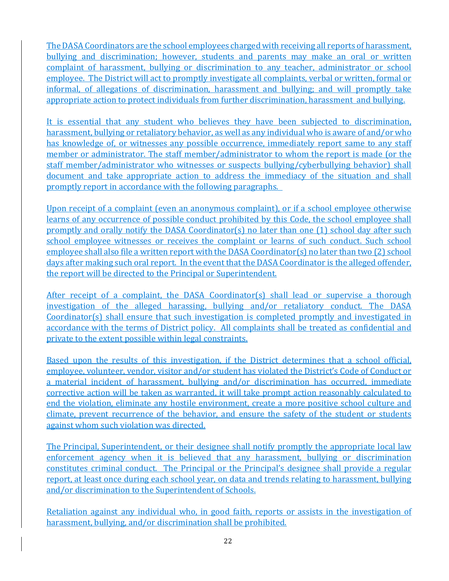The DASA Coordinators are the school employees charged with receiving all reports of harassment, bullying and discrimination; however, students and parents may make an oral or written complaint of harassment, bullying or discrimination to any teacher, administrator or school employee. The District will act to promptly investigate all complaints, verbal or written, formal or informal, of allegations of discrimination, harassment and bullying; and will promptly take appropriate action to protect individuals from further discrimination, harassment and bullying.

It is essential that any student who believes they have been subjected to discrimination, harassment, bullying or retaliatory behavior, as well as any individual who is aware of and/or who has knowledge of, or witnesses any possible occurrence, immediately report same to any staff member or administrator. The staff member/administrator to whom the report is made (or the staff member/administrator who witnesses or suspects bullying/cyberbullying behavior) shall document and take appropriate action to address the immediacy of the situation and shall promptly report in accordance with the following paragraphs.

Upon receipt of a complaint (even an anonymous complaint), or if a school employee otherwise learns of any occurrence of possible conduct prohibited by this Code, the school employee shall promptly and orally notify the DASA Coordinator(s) no later than one (1) school day after such school employee witnesses or receives the complaint or learns of such conduct. Such school employee shall also file a written report with the DASA Coordinator(s) no later than two (2) school days after making such oral report. In the event that the DASA Coordinator is the alleged offender, the report will be directed to the Principal or Superintendent.

After receipt of a complaint, the DASA Coordinator(s) shall lead or supervise a thorough investigation of the alleged harassing, bullying and/or retaliatory conduct. The DASA Coordinator(s) shall ensure that such investigation is completed promptly and investigated in accordance with the terms of District policy. All complaints shall be treated as confidential and private to the extent possible within legal constraints.

Based upon the results of this investigation, if the District determines that a school official, employee, volunteer, vendor, visitor and/or student has violated the District's Code of Conduct or a material incident of harassment, bullying and/or discrimination has occurred, immediate corrective action will be taken as warranted, it will take prompt action reasonably calculated to end the violation, eliminate any hostile environment, create a more positive school culture and climate, prevent recurrence of the behavior, and ensure the safety of the student or students against whom such violation was directed.

The Principal, Superintendent, or their designee shall notify promptly the appropriate local law enforcement agency when it is believed that any harassment, bullying or discrimination constitutes criminal conduct. The Principal or the Principal's designee shall provide a regular report, at least once during each school year, on data and trends relating to harassment, bullying and/or discrimination to the Superintendent of Schools.

Retaliation against any individual who, in good faith, reports or assists in the investigation of harassment, bullying, and/or discrimination shall be prohibited.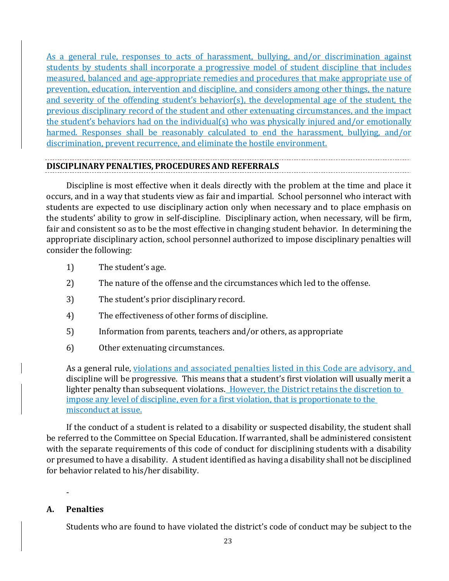As a general rule, responses to acts of harassment, bullying, and/or discrimination against students by students shall incorporate a progressive model of student discipline that includes measured, balanced and age-appropriate remedies and procedures that make appropriate use of prevention, education, intervention and discipline, and considers among other things, the nature and severity of the offending student's behavior(s), the developmental age of the student, the previous disciplinary record of the student and other extenuating circumstances, and the impact the student's behaviors had on the individual(s) who was physically injured and/or emotionally harmed. Responses shall be reasonably calculated to end the harassment, bullying, and/or discrimination, prevent recurrence, and eliminate the hostile environment.

#### **DISCIPLINARY PENALTIES, PROCEDURES AND REFERRALS**

Discipline is most effective when it deals directly with the problem at the time and place it occurs, and in a way that students view as fair and impartial. School personnel who interact with students are expected to use disciplinary action only when necessary and to place emphasis on the students' ability to grow in self-discipline. Disciplinary action, when necessary, will be firm, fair and consistent so as to be the most effective in changing student behavior. In determining the appropriate disciplinary action, school personnel authorized to impose disciplinary penalties will consider the following:

- 1) The student's age.
- 2) The nature of the offense and the circumstances which led to the offense.
- 3) The student's prior disciplinary record.
- 4) The effectiveness of other forms of discipline.
- 5) Information from parents, teachers and/or others, as appropriate
- 6) Other extenuating circumstances.

As a general rule, violations and associated penalties listed in this Code are advisory, and discipline will be progressive. This means that a student's first violation will usually merit a lighter penalty than subsequent violations. However, the District retains the discretion to impose any level of discipline, even for a first violation, that is proportionate to the misconduct at issue.

If the conduct of a student is related to a disability or suspected disability, the student shall be referred to the Committee on Special Education. If warranted, shall be administered consistent with the separate requirements of this code of conduct for disciplining students with a disability or presumed to have a disability. A student identified as having a disability shall not be disciplined for behavior related to his/her disability.

#### **A. Penalties**

-

Students who are found to have violated the district's code of conduct may be subject to the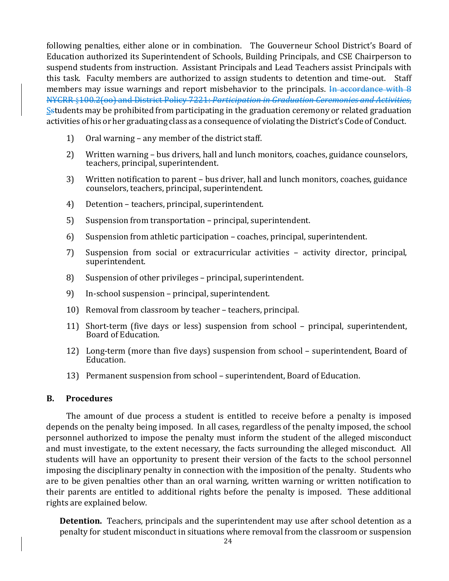following penalties, either alone or in combination. The Gouverneur School District's Board of Education authorized its Superintendent of Schools, Building Principals, and CSE Chairperson to suspend students from instruction. Assistant Principals and Lead Teachers assist Principals with this task. Faculty members are authorized to assign students to detention and time-out. Staff members may issue warnings and report misbehavior to the principals. In accordance with 8 NYCRR §100.2(oo) and District Policy 7221: *Participation in Graduation Ceremonies and Activities*, Sstudents may be prohibited from participating in the graduation ceremony or related graduation activities of his or her graduating class as a consequence of violating the District's Code of Conduct.

- 1) Oral warning any member of the district staff.
- 2) Written warning bus drivers, hall and lunch monitors, coaches, guidance counselors, teachers, principal, superintendent.
- 3) Written notification to parent bus driver, hall and lunch monitors, coaches, guidance counselors, teachers, principal, superintendent.
- 4) Detention teachers, principal, superintendent.
- 5) Suspension from transportation principal, superintendent.
- 6) Suspension from athletic participation coaches, principal, superintendent.
- 7) Suspension from social or extracurricular activities activity director, principal, superintendent.
- 8) Suspension of other privileges principal, superintendent.
- 9) In-school suspension principal, superintendent.
- 10) Removal from classroom by teacher teachers, principal.
- 11) Short-term (five days or less) suspension from school principal, superintendent, Board of Education.
- 12) Long-term (more than five days) suspension from school superintendent, Board of Education.
- 13) Permanent suspension from school superintendent, Board of Education.

#### **B. Procedures**

The amount of due process a student is entitled to receive before a penalty is imposed depends on the penalty being imposed. In all cases, regardless of the penalty imposed, the school personnel authorized to impose the penalty must inform the student of the alleged misconduct and must investigate, to the extent necessary, the facts surrounding the alleged misconduct. All students will have an opportunity to present their version of the facts to the school personnel imposing the disciplinary penalty in connection with the imposition of the penalty. Students who are to be given penalties other than an oral warning, written warning or written notification to their parents are entitled to additional rights before the penalty is imposed. These additional rights are explained below.

**Detention.** Teachers, principals and the superintendent may use after school detention as a penalty for student misconduct in situations where removal from the classroom or suspension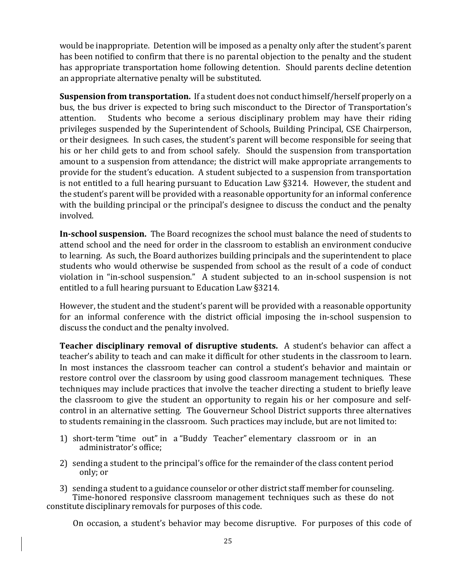would be inappropriate. Detention will be imposed as a penalty only after the student's parent has been notified to confirm that there is no parental objection to the penalty and the student has appropriate transportation home following detention. Should parents decline detention an appropriate alternative penalty will be substituted.

**Suspension from transportation.** If a student does not conduct himself/herself properly on a bus, the bus driver is expected to bring such misconduct to the Director of Transportation's attention. Students who become a serious disciplinary problem may have their riding privileges suspended by the Superintendent of Schools, Building Principal, CSE Chairperson, or their designees. In such cases, the student's parent will become responsible for seeing that his or her child gets to and from school safely. Should the suspension from transportation amount to a suspension from attendance; the district will make appropriate arrangements to provide for the student's education. A student subjected to a suspension from transportation is not entitled to a full hearing pursuant to Education Law §3214. However, the student and the student's parent will be provided with a reasonable opportunity for an informal conference with the building principal or the principal's designee to discuss the conduct and the penalty involved.

**In‐school suspension.** The Board recognizes the school must balance the need of students to attend school and the need for order in the classroom to establish an environment conducive to learning. As such, the Board authorizes building principals and the superintendent to place students who would otherwise be suspended from school as the result of a code of conduct violation in "in-school suspension." A student subjected to an in-school suspension is not entitled to a full hearing pursuant to Education Law §3214.

However, the student and the student's parent will be provided with a reasonable opportunity for an informal conference with the district official imposing the in-school suspension to discuss the conduct and the penalty involved.

**Teacher disciplinary removal of disruptive students.**  A student's behavior can affect a teacher's ability to teach and can make it difficult for other students in the classroom to learn. In most instances the classroom teacher can control a student's behavior and maintain or restore control over the classroom by using good classroom management techniques. These techniques may include practices that involve the teacher directing a student to briefly leave the classroom to give the student an opportunity to regain his or her composure and selfcontrol in an alternative setting. The Gouverneur School District supports three alternatives to students remaining in the classroom. Such practices may include, but are not limited to:

- 1) short-term "time out" in a "Buddy Teacher" elementary classroom or in an administrator's office;
- 2) sending a student to the principal's office for the remainder of the class content period only; or

3) sending a student to a guidance counselor or other district staff member for counseling. Time-honored responsive classroom management techniques such as these do not constitute disciplinary removals for purposes of this code.

On occasion, a student's behavior may become disruptive. For purposes of this code of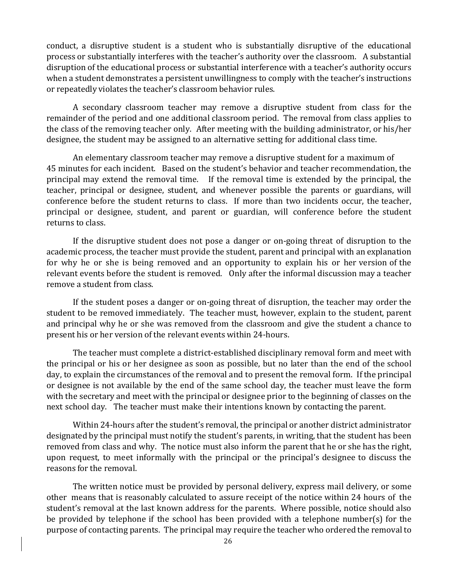conduct, a disruptive student is a student who is substantially disruptive of the educational process or substantially interferes with the teacher's authority over the classroom. A substantial disruption of the educational process or substantial interference with a teacher's authority occurs when a student demonstrates a persistent unwillingness to comply with the teacher's instructions or repeatedly violates the teacher's classroom behavior rules.

A secondary classroom teacher may remove a disruptive student from class for the remainder of the period and one additional classroom period. The removal from class applies to the class of the removing teacher only. After meeting with the building administrator, or his/her designee, the student may be assigned to an alternative setting for additional class time.

An elementary classroom teacher may remove a disruptive student for a maximum of 45 minutes for each incident. Based on the student's behavior and teacher recommendation, the principal may extend the removal time. If the removal time is extended by the principal, the teacher, principal or designee, student, and whenever possible the parents or guardians, will conference before the student returns to class. If more than two incidents occur, the teacher, principal or designee, student, and parent or guardian, will conference before the student returns to class.

If the disruptive student does not pose a danger or on-going threat of disruption to the academic process, the teacher must provide the student, parent and principal with an explanation for why he or she is being removed and an opportunity to explain his or her version of the relevant events before the student is removed. Only after the informal discussion may a teacher remove a student from class.

If the student poses a danger or on-going threat of disruption, the teacher may order the student to be removed immediately. The teacher must, however, explain to the student, parent and principal why he or she was removed from the classroom and give the student a chance to present his or her version of the relevant events within 24-hours.

The teacher must complete a district-established disciplinary removal form and meet with the principal or his or her designee as soon as possible, but no later than the end of the school day, to explain the circumstances of the removal and to present the removal form. If the principal or designee is not available by the end of the same school day, the teacher must leave the form with the secretary and meet with the principal or designee prior to the beginning of classes on the next school day. The teacher must make their intentions known by contacting the parent.

Within 24-hours after the student's removal, the principal or another district administrator designated by the principal must notify the student's parents, in writing, that the student has been removed from class and why. The notice must also inform the parent that he or she has the right, upon request, to meet informally with the principal or the principal's designee to discuss the reasons for the removal.

The written notice must be provided by personal delivery, express mail delivery, or some other means that is reasonably calculated to assure receipt of the notice within 24 hours of the student's removal at the last known address for the parents. Where possible, notice should also be provided by telephone if the school has been provided with a telephone number(s) for the purpose of contacting parents. The principal may require the teacher who ordered the removal to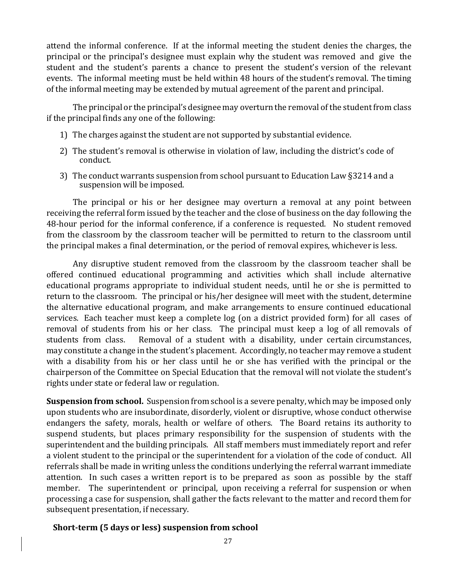attend the informal conference. If at the informal meeting the student denies the charges, the principal or the principal's designee must explain why the student was removed and give the student and the student's parents a chance to present the student's version of the relevant events. The informal meeting must be held within 48 hours of the student's removal. The timing of the informal meeting may be extended by mutual agreement of the parent and principal.

The principal or the principal's designee may overturn the removal of the student from class if the principal finds any one of the following:

- 1) The charges against the student are not supported by substantial evidence.
- 2) The student's removal is otherwise in violation of law, including the district's code of conduct.
- 3) The conduct warrants suspension from school pursuant to Education Law §3214 and a suspension will be imposed.

The principal or his or her designee may overturn a removal at any point between receiving the referral form issued by the teacher and the close of business on the day following the 48-hour period for the informal conference, if a conference is requested. No student removed from the classroom by the classroom teacher will be permitted to return to the classroom until the principal makes a final determination, or the period of removal expires, whichever is less.

Any disruptive student removed from the classroom by the classroom teacher shall be offered continued educational programming and activities which shall include alternative educational programs appropriate to individual student needs, until he or she is permitted to return to the classroom. The principal or his/her designee will meet with the student, determine the alternative educational program, and make arrangements to ensure continued educational services. Each teacher must keep a complete log (on a district provided form) for all cases of removal of students from his or her class. The principal must keep a log of all removals of students from class. Removal of a student with a disability, under certain circumstances, may constitute a change in the student's placement. Accordingly, no teacher may remove a student with a disability from his or her class until he or she has verified with the principal or the chairperson of the Committee on Special Education that the removal will not violate the student's rights under state or federal law or regulation.

**Suspension from school.** Suspension from school is a severe penalty, which may be imposed only upon students who are insubordinate, disorderly, violent or disruptive, whose conduct otherwise endangers the safety, morals, health or welfare of others. The Board retains its authority to suspend students, but places primary responsibility for the suspension of students with the superintendent and the building principals. All staff members must immediately report and refer a violent student to the principal or the superintendent for a violation of the code of conduct. All referrals shall be made in writing unless the conditions underlying the referral warrant immediate attention. In such cases a written report is to be prepared as soon as possible by the staff member. The superintendent or principal, upon receiving a referral for suspension or when processing a case for suspension, shall gather the facts relevant to the matter and record them for subsequent presentation, if necessary.

#### **Short‐term (5 days or less) suspension from school**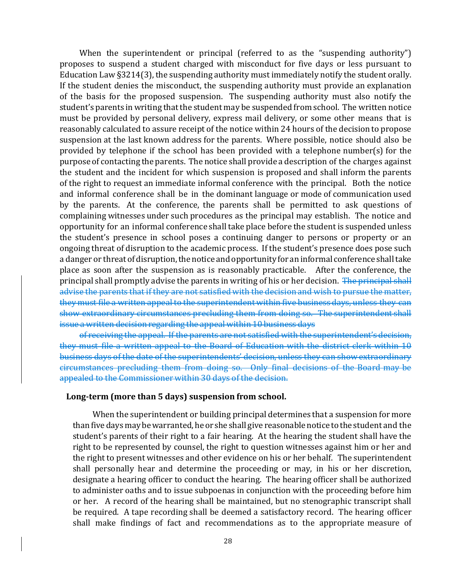When the superintendent or principal (referred to as the "suspending authority") proposes to suspend a student charged with misconduct for five days or less pursuant to Education Law §3214(3), the suspending authority must immediately notify the student orally. If the student denies the misconduct, the suspending authority must provide an explanation of the basis for the proposed suspension. The suspending authority must also notify the student's parents in writing that the student may be suspended from school. The written notice must be provided by personal delivery, express mail delivery, or some other means that is reasonably calculated to assure receipt of the notice within 24 hours of the decision to propose suspension at the last known address for the parents. Where possible, notice should also be provided by telephone if the school has been provided with a telephone number(s) for the purpose of contacting the parents. The notice shall provide a description of the charges against the student and the incident for which suspension is proposed and shall inform the parents of the right to request an immediate informal conference with the principal. Both the notice and informal conference shall be in the dominant language or mode of communication used by the parents. At the conference, the parents shall be permitted to ask questions of complaining witnesses under such procedures as the principal may establish. The notice and opportunity for an informal conference shall take place before the student is suspended unless the student's presence in school poses a continuing danger to persons or property or an ongoing threat of disruption to the academic process. If the student's presence does pose such a danger or threat of disruption, the notice and opportunity for an informal conference shall take place as soon after the suspension as is reasonably practicable. After the conference, the principal shall promptly advise the parents in writing of his or her decision. The principal shall advise the parents that if they are not satisfied with the decision and wish to pursue the matter, they must file a written appeal to the superintendent within five business days, unless they can show extraordinary circumstances precluding them from doing so. The superintendent shall issue a written decision regarding the appeal within 10 business days

of receiving the appeal. If the parents are not satisfied with the superintendent's decision, they must file a written appeal to the Board of Education with the district clerk within 10 business days of the date of the superintendents' decision, unless they can show extraordinary circumstances precluding them from doing so. Only final decisions of the Board may be appealed to the Commissioner within 30 days of the decision.

#### **Long‐term (more than 5 days) suspension from school.**

When the superintendent or building principal determines that a suspension for more than five days may be warranted, he or she shall give reasonable notice to the student and the student's parents of their right to a fair hearing. At the hearing the student shall have the right to be represented by counsel, the right to question witnesses against him or her and the right to present witnesses and other evidence on his or her behalf. The superintendent shall personally hear and determine the proceeding or may, in his or her discretion, designate a hearing officer to conduct the hearing. The hearing officer shall be authorized to administer oaths and to issue subpoenas in conjunction with the proceeding before him or her. A record of the hearing shall be maintained, but no stenographic transcript shall be required. A tape recording shall be deemed a satisfactory record. The hearing officer shall make findings of fact and recommendations as to the appropriate measure of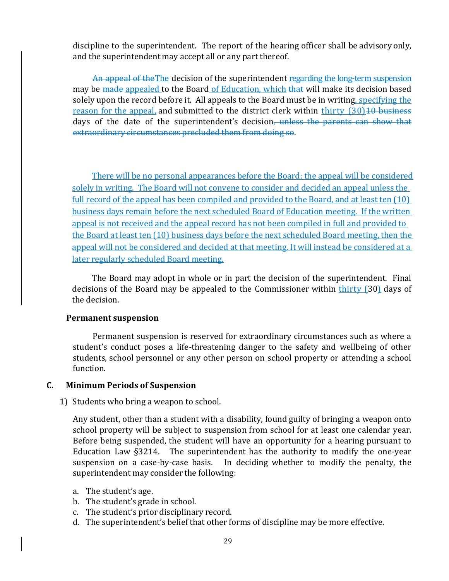discipline to the superintendent. The report of the hearing officer shall be advisory only, and the superintendent may accept all or any part thereof.

An appeal of the The decision of the superintendent regarding the long-term suspension may be made appealed to the Board of Education, which that will make its decision based solely upon the record before it. All appeals to the Board must be in writing, specifying the reason for the appeal, and submitted to the district clerk within thirty (30) 10 business days of the date of the superintendent's decision, unless the parents can show that extraordinary circumstances precluded them from doing so.

There will be no personal appearances before the Board; the appeal will be considered solely in writing. The Board will not convene to consider and decided an appeal unless the full record of the appeal has been compiled and provided to the Board, and at least ten (10) business days remain before the next scheduled Board of Education meeting. If the written appeal is not received and the appeal record has not been compiled in full and provided to the Board at least ten (10) business days before the next scheduled Board meeting, then the appeal will not be considered and decided at that meeting. It will instead be considered at a later regularly scheduled Board meeting.

The Board may adopt in whole or in part the decision of the superintendent. Final decisions of the Board may be appealed to the Commissioner within thirty (30) days of the decision.

#### **Permanent suspension**

Permanent suspension is reserved for extraordinary circumstances such as where a student's conduct poses a life-threatening danger to the safety and wellbeing of other students, school personnel or any other person on school property or attending a school function.

#### **C. Minimum Periods of Suspension**

1) Students who bring a weapon to school.

Any student, other than a student with a disability, found guilty of bringing a weapon onto school property will be subject to suspension from school for at least one calendar year. Before being suspended, the student will have an opportunity for a hearing pursuant to Education Law §3214. The superintendent has the authority to modify the one-year suspension on a case-by-case basis. In deciding whether to modify the penalty, the superintendent may consider the following:

- a. The student's age.
- b. The student's grade in school.
- c. The student's prior disciplinary record.
- d. The superintendent's belief that other forms of discipline may be more effective.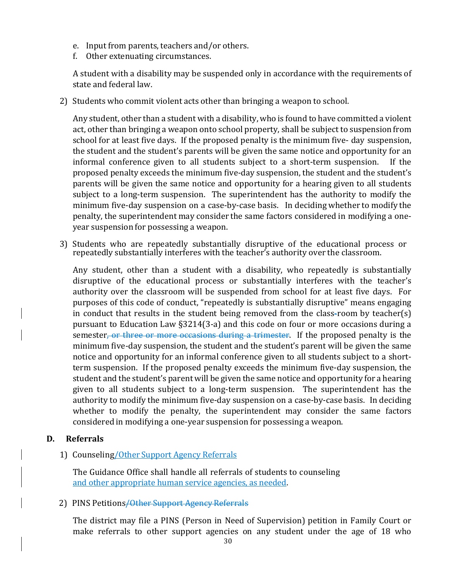- e. Input from parents, teachers and/or others.
- f. Other extenuating circumstances.

A student with a disability may be suspended only in accordance with the requirements of state and federal law.

2) Students who commit violent acts other than bringing a weapon to school.

Any student, other than a student with a disability, who is found to have committed a violent act, other than bringing a weapon onto school property, shall be subject to suspension from school for at least five days. If the proposed penalty is the minimum five- day suspension, the student and the student's parents will be given the same notice and opportunity for an informal conference given to all students subject to a short-term suspension. If the proposed penalty exceeds the minimum five-day suspension, the student and the student's parents will be given the same notice and opportunity for a hearing given to all students subject to a long-term suspension. The superintendent has the authority to modify the minimum five-day suspension on a case-by-case basis. In deciding whether to modify the penalty, the superintendent may consider the same factors considered in modifying a oneyear suspension for possessing a weapon.

3) Students who are repeatedly substantially disruptive of the educational process or repeatedly substantially interferes with the teacher's authority over the classroom.

Any student, other than a student with a disability, who repeatedly is substantially disruptive of the educational process or substantially interferes with the teacher's authority over the classroom will be suspended from school for at least five days. For purposes of this code of conduct, "repeatedly is substantially disruptive" means engaging in conduct that results in the student being removed from the class-room by teacher(s) pursuant to Education Law §3214(3-a) and this code on four or more occasions during a semester, or three or more occasions during a trimester. If the proposed penalty is the minimum five-day suspension, the student and the student's parent will be given the same notice and opportunity for an informal conference given to all students subject to a shortterm suspension. If the proposed penalty exceeds the minimum five-day suspension, the student and the student's parent will be given the same notice and opportunity for a hearing given to all students subject to a long-term suspension. The superintendent has the authority to modify the minimum five-day suspension on a case-by-case basis. In deciding whether to modify the penalty, the superintendent may consider the same factors considered in modifying a one-year suspension for possessing a weapon.

#### **D. Referrals**

1) Counseling/Other Support Agency Referrals

The Guidance Office shall handle all referrals of students to counseling and other appropriate human service agencies, as needed.

#### 2) PINS Petitions / Other Support Agency Referrals

The district may file a PINS (Person in Need of Supervision) petition in Family Court or make referrals to other support agencies on any student under the age of 18 who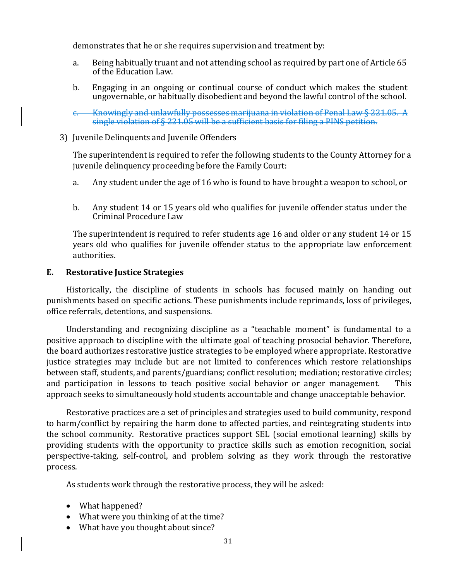demonstrates that he or she requires supervision and treatment by:

- a. Being habitually truant and not attending school as required by part one of Article 65 of the Education Law.
- b. Engaging in an ongoing or continual course of conduct which makes the student ungovernable, or habitually disobedient and beyond the lawful control of the school.
- c. Knowingly and unlawfully possesses marijuana in violation of Penal Law § 221.05. A single violation of § 221.05 will be a sufficient basis for filing a PINS petition.
- 3) Juvenile Delinquents and Juvenile Offenders

The superintendent is required to refer the following students to the County Attorney for a juvenile delinquency proceeding before the Family Court:

- a. Any student under the age of 16 who is found to have brought a weapon to school, or
- b. Any student 14 or 15 years old who qualifies for juvenile offender status under the Criminal Procedure Law

The superintendent is required to refer students age 16 and older or any student 14 or 15 years old who qualifies for juvenile offender status to the appropriate law enforcement authorities.

#### **E. Restorative Justice Strategies**

Historically, the discipline of students in schools has focused mainly on handing out punishments based on specific actions. These punishments include reprimands, loss of privileges, office referrals, detentions, and suspensions.

Understanding and recognizing discipline as a "teachable moment" is fundamental to a positive approach to discipline with the ultimate goal of teaching prosocial behavior. Therefore, the board authorizes restorative justice strategies to be employed where appropriate. Restorative justice strategies may include but are not limited to conferences which restore relationships between staff, students, and parents/guardians; conflict resolution; mediation; restorative circles; and participation in lessons to teach positive social behavior or anger management. This approach seeks to simultaneously hold students accountable and change unacceptable behavior.

Restorative practices are a set of principles and strategies used to build community, respond to harm/conflict by repairing the harm done to affected parties, and reintegrating students into the school community. Restorative practices support SEL (social emotional learning) skills by providing students with the opportunity to practice skills such as emotion recognition, social perspective-taking, self-control, and problem solving as they work through the restorative process.

As students work through the restorative process, they will be asked:

- What happened?
- What were you thinking of at the time?
- What have you thought about since?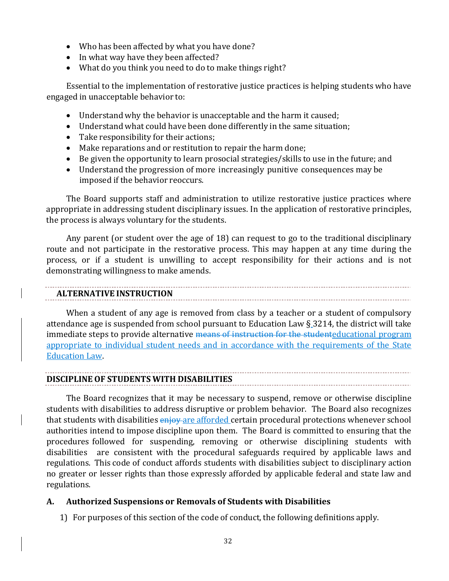- Who has been affected by what you have done?
- In what way have they been affected?
- What do you think you need to do to make things right?

Essential to the implementation of restorative justice practices is helping students who have engaged in unacceptable behavior to:

- Understand why the behavior is unacceptable and the harm it caused;
- Understand what could have been done differently in the same situation;
- Take responsibility for their actions;
- Make reparations and or restitution to repair the harm done;
- Be given the opportunity to learn prosocial strategies/skills to use in the future; and
- Understand the progression of more increasingly punitive consequences may be imposed if the behavior reoccurs.

The Board supports staff and administration to utilize restorative justice practices where appropriate in addressing student disciplinary issues. In the application of restorative principles, the process is always voluntary for the students.

Any parent (or student over the age of 18) can request to go to the traditional disciplinary route and not participate in the restorative process. This may happen at any time during the process, or if a student is unwilling to accept responsibility for their actions and is not demonstrating willingness to make amends.

#### **ALTERNATIVE INSTRUCTION**

When a student of any age is removed from class by a teacher or a student of compulsory attendance age is suspended from school pursuant to Education Law § 3214, the district will take immediate steps to provide alternative means of instruction for the studenteducational program appropriate to individual student needs and in accordance with the requirements of the State Education Law.

#### **DISCIPLINE OF STUDENTS WITH DISABILITIES**

The Board recognizes that it may be necessary to suspend, remove or otherwise discipline students with disabilities to address disruptive or problem behavior. The Board also recognizes that students with disabilities enjoy are afforded certain procedural protections whenever school authorities intend to impose discipline upon them. The Board is committed to ensuring that the procedures followed for suspending, removing or otherwise disciplining students with disabilities are consistent with the procedural safeguards required by applicable laws and regulations. This code of conduct affords students with disabilities subject to disciplinary action no greater or lesser rights than those expressly afforded by applicable federal and state law and regulations.

#### **A. Authorized Suspensions or Removals of Students with Disabilities**

1) For purposes of this section of the code of conduct, the following definitions apply.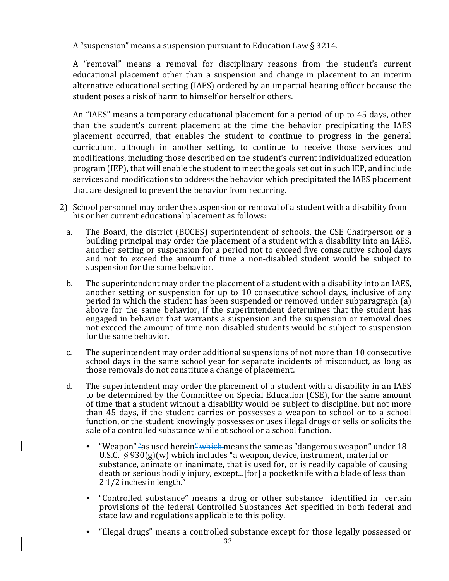A "suspension" means a suspension pursuant to Education Law § 3214.

A "removal" means a removal for disciplinary reasons from the student's current educational placement other than a suspension and change in placement to an interim alternative educational setting (IAES) ordered by an impartial hearing officer because the student poses a risk of harm to himself or herself or others.

An "IAES" means a temporary educational placement for a period of up to 45 days, other than the student's current placement at the time the behavior precipitating the IAES placement occurred, that enables the student to continue to progress in the general curriculum, although in another setting, to continue to receive those services and modifications, including those described on the student's current individualized education program (IEP), that will enable the student to meet the goals set out in such IEP, and include services and modifications to address the behavior which precipitated the IAES placement that are designed to prevent the behavior from recurring.

- 2) School personnel may order the suspension or removal of a student with a disability from his or her current educational placement as follows:
	- a. The Board, the district (BOCES) superintendent of schools, the CSE Chairperson or a building principal may order the placement of a student with a disability into an IAES, another setting or suspension for a period not to exceed five consecutive school days and not to exceed the amount of time a non-disabled student would be subject to suspension for the same behavior.
	- b. The superintendent may order the placement of a student with a disability into an IAES, another setting or suspension for up to 10 consecutive school days, inclusive of any period in which the student has been suspended or removed under subparagraph (a) above for the same behavior, if the superintendent determines that the student has engaged in behavior that warrants a suspension and the suspension or removal does not exceed the amount of time non-disabled students would be subject to suspension for the same behavior.
	- c. The superintendent may order additional suspensions of not more than 10 consecutive school days in the same school year for separate incidents of misconduct, as long as those removals do not constitute a change of placement.
	- d. The superintendent may order the placement of a student with a disability in an IAES to be determined by the Committee on Special Education (CSE), for the same amount of time that a student without a disability would be subject to discipline, but not more than 45 days, if the student carries or possesses a weapon to school or to a school function, or the student knowingly possesses or uses illegal drugs or sells or solicits the sale of a controlled substance while at school or a school function.
		- "Weapon" "as used herein" which means the same as "dangerous weapon" under  $18$ U.S.C. § 930(g)(w) which includes "a weapon, device, instrument, material or substance, animate or inanimate, that is used for, or is readily capable of causing death or serious bodily injury, except...[for] a pocketknife with a blade of less than 2 1/2 inches in length."
		- "Controlled substance" means a drug or other substance identified in certain provisions of the federal Controlled Substances Act specified in both federal and state law and regulations applicable to this policy.
		- "Illegal drugs" means a controlled substance except for those legally possessed or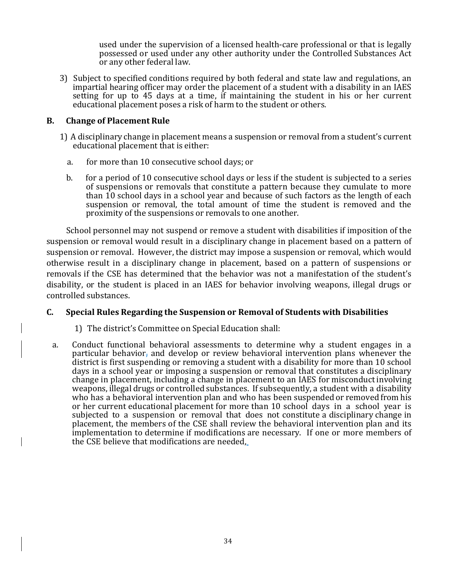used under the supervision of a licensed health-care professional or that is legally possessed or used under any other authority under the Controlled Substances Act or any other federal law.

3) Subject to specified conditions required by both federal and state law and regulations, an impartial hearing officer may order the placement of a student with a disability in an IAES setting for up to 45 days at a time, if maintaining the student in his or her current educational placement poses a risk of harm to the student or others.

#### **B. Change of Placement Rule**

- 1) A disciplinary change in placement means a suspension or removal from a student's current educational placement that is either:
	- a. for more than 10 consecutive school days; or
	- b. for a period of 10 consecutive school days or less if the student is subjected to a series of suspensions or removals that constitute a pattern because they cumulate to more than 10 school days in a school year and because of such factors as the length of each suspension or removal, the total amount of time the student is removed and the proximity of the suspensions or removals to one another.

School personnel may not suspend or remove a student with disabilities if imposition of the suspension or removal would result in a disciplinary change in placement based on a pattern of suspension or removal. However, the district may impose a suspension or removal, which would otherwise result in a disciplinary change in placement, based on a pattern of suspensions or removals if the CSE has determined that the behavior was not a manifestation of the student's disability, or the student is placed in an IAES for behavior involving weapons, illegal drugs or controlled substances.

#### **C. Special Rules Regarding the Suspension or Removal of Students with Disabilities**

- 1) The district's Committee on Special Education shall:
- a. Conduct functional behavioral assessments to determine why a student engages in a particular behavior, and develop or review behavioral intervention plans whenever the district is first suspending or removing a student with a disability for more than 10 school days in a school year or imposing a suspension or removal that constitutes a disciplinary change in placement, including a change in placement to an IAES for misconduct involving weapons, illegal drugs or controlled substances. If subsequently, a student with a disability who has a behavioral intervention plan and who has been suspended or removed from his or her current educational placement for more than 10 school days in a school year is subjected to a suspension or removal that does not constitute a disciplinary change in placement, the members of the CSE shall review the behavioral intervention plan and its implementation to determine if modifications are necessary. If one or more members of the CSE believe that modifications are needed,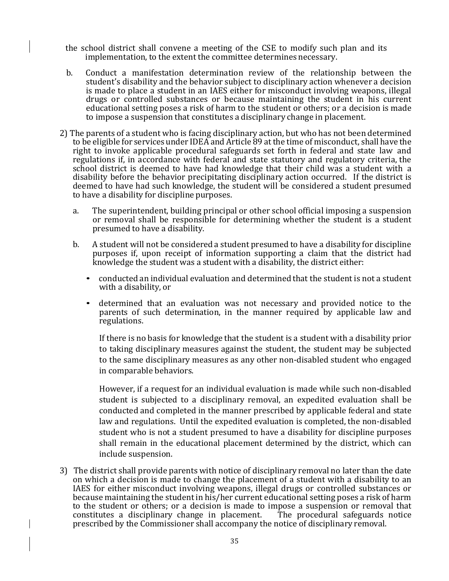- the school district shall convene a meeting of the CSE to modify such plan and its implementation, to the extent the committee determines necessary.
- b. Conduct a manifestation determination review of the relationship between the student's disability and the behavior subject to disciplinary action whenever a decision is made to place a student in an IAES either for misconduct involving weapons, illegal drugs or controlled substances or because maintaining the student in his current educational setting poses a risk of harm to the student or others; or a decision is made to impose a suspension that constitutes a disciplinary change in placement.
- 2) The parents of a student who is facing disciplinary action, but who has not been determined to be eligible for services under IDEA and Article 89 at the time of misconduct, shall have the right to invoke applicable procedural safeguards set forth in federal and state law and regulations if, in accordance with federal and state statutory and regulatory criteria, the school district is deemed to have had knowledge that their child was a student with a disability before the behavior precipitating disciplinary action occurred. If the district is deemed to have had such knowledge, the student will be considered a student presumed to have a disability for discipline purposes.
	- a. The superintendent, building principal or other school official imposing a suspension or removal shall be responsible for determining whether the student is a student presumed to have a disability.
	- b. A student will not be considered a student presumed to have a disability for discipline purposes if, upon receipt of information supporting a claim that the district had knowledge the student was a student with a disability, the district either:
		- conducted an individual evaluation and determined that the student is not a student with a disability, or
		- determined that an evaluation was not necessary and provided notice to the parents of such determination, in the manner required by applicable law and regulations.

If there is no basis for knowledge that the student is a student with a disability prior to taking disciplinary measures against the student, the student may be subjected to the same disciplinary measures as any other non-disabled student who engaged in comparable behaviors.

However, if a request for an individual evaluation is made while such non-disabled student is subjected to a disciplinary removal, an expedited evaluation shall be conducted and completed in the manner prescribed by applicable federal and state law and regulations. Until the expedited evaluation is completed, the non-disabled student who is not a student presumed to have a disability for discipline purposes shall remain in the educational placement determined by the district, which can include suspension.

3) The district shall provide parents with notice of disciplinary removal no later than the date on which a decision is made to change the placement of a student with a disability to an IAES for either misconduct involving weapons, illegal drugs or controlled substances or because maintaining the student in his/her current educational setting poses a risk of harm to the student or others; or a decision is made to impose a suspension or removal that constitutes a disciplinary change in placement. The procedural safeguards notice prescribed by the Commissioner shall accompany the notice of disciplinary removal.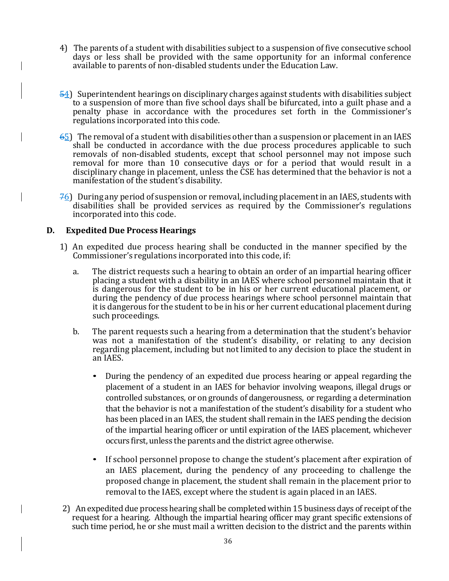- 4) The parents of a student with disabilities subject to a suspension of five consecutive school days or less shall be provided with the same opportunity for an informal conference available to parents of non-disabled students under the Education Law.
- 54) Superintendent hearings on disciplinary charges against students with disabilities subject to a suspension of more than five school days shall be bifurcated, into a guilt phase and a penalty phase in accordance with the procedures set forth in the Commissioner's regulations incorporated into this code.
- 65) The removal of a student with disabilities other than a suspension or placement in an IAES shall be conducted in accordance with the due process procedures applicable to such removals of non-disabled students, except that school personnel may not impose such removal for more than 10 consecutive days or for a period that would result in a disciplinary change in placement, unless the CSE has determined that the behavior is not a manifestation of the student's disability.
- $76$ ) During any period of suspension or removal, including placement in an IAES, students with disabilities shall be provided services as required by the Commissioner's regulations incorporated into this code.

#### **D. Expedited Due Process Hearings**

- 1) An expedited due process hearing shall be conducted in the manner specified by the Commissioner's regulations incorporated into this code, if:
	- a. The district requests such a hearing to obtain an order of an impartial hearing officer placing a student with a disability in an IAES where school personnel maintain that it is dangerous for the student to be in his or her current educational placement, or during the pendency of due process hearings where school personnel maintain that it is dangerous for the student to be in his or her current educational placement during such proceedings.
	- b. The parent requests such a hearing from a determination that the student's behavior was not a manifestation of the student's disability, or relating to any decision regarding placement, including but not limited to any decision to place the student in an IAES.
		- During the pendency of an expedited due process hearing or appeal regarding the placement of a student in an IAES for behavior involving weapons, illegal drugs or controlled substances, or on grounds of dangerousness, or regarding a determination that the behavior is not a manifestation of the student's disability for a student who has been placed in an IAES, the student shall remain in the IAES pending the decision of the impartial hearing officer or until expiration of the IAES placement, whichever occurs first, unless the parents and the district agree otherwise.
		- If school personnel propose to change the student's placement after expiration of an IAES placement, during the pendency of any proceeding to challenge the proposed change in placement, the student shall remain in the placement prior to removal to the IAES, except where the student is again placed in an IAES.
- 2) An expedited due process hearing shall be completed within 15 business days of receipt of the request for a hearing. Although the impartial hearing officer may grant specific extensions of such time period, he or she must mail a written decision to the district and the parents within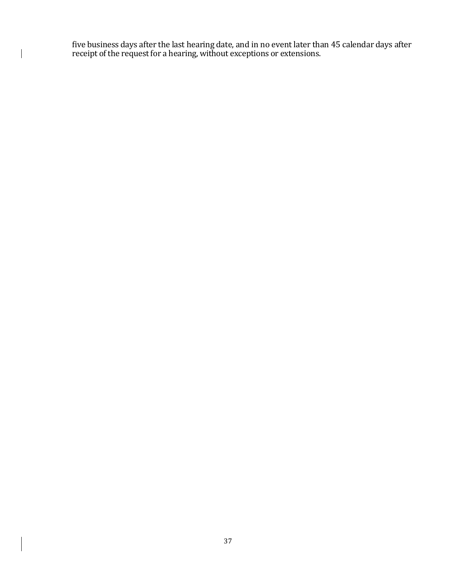five business days after the last hearing date, and in no event later than 45 calendar days after receipt of the request for a hearing, without exceptions or extensions.

 $\begin{array}{c} \hline \end{array}$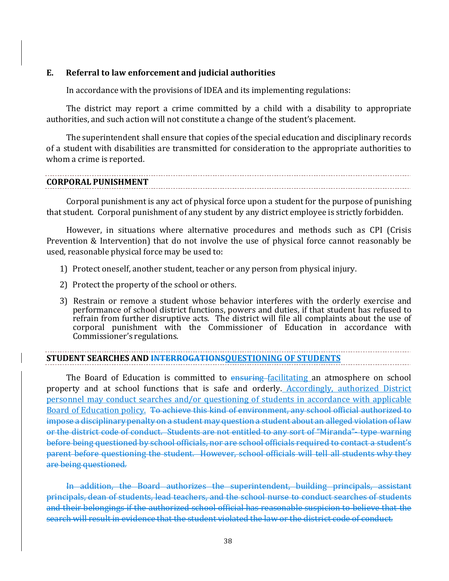#### **E. Referral to law enforcement and judicial authorities**

In accordance with the provisions of IDEA and its implementing regulations:

The district may report a crime committed by a child with a disability to appropriate authorities, and such action will not constitute a change of the student's placement.

The superintendent shall ensure that copies of the special education and disciplinary records of a student with disabilities are transmitted for consideration to the appropriate authorities to whom a crime is reported.

## **CORPORAL PUNISHMENT**

Corporal punishment is any act of physical force upon a student for the purpose of punishing that student. Corporal punishment of any student by any district employee is strictly forbidden.

However, in situations where alternative procedures and methods such as CPI (Crisis Prevention & Intervention) that do not involve the use of physical force cannot reasonably be used, reasonable physical force may be used to:

- 1) Protect oneself, another student, teacher or any person from physical injury.
- 2) Protect the property of the school or others.
- 3) Restrain or remove a student whose behavior interferes with the orderly exercise and performance of school district functions, powers and duties, if that student has refused to refrain from further disruptive acts. The district will file all complaints about the use of corporal punishment with the Commissioner of Education in accordance with Commissioner's regulations.

## **STUDENT SEARCHES AND INTERROGATIONSQUESTIONING OF STUDENTS**

The Board of Education is committed to ensuring facilitating an atmosphere on school property and at school functions that is safe and orderly. Accordingly, authorized District personnel may conduct searches and/or questioning of students in accordance with applicable Board of Education policy. To achieve this kind of environment, any school official authorized to impose a disciplinary penalty on a student may question a student about an alleged violation of law or the district code of conduct. Students are not entitled to any sort of "Miranda"- type warning before being questioned by school officials, nor are school officials required to contact a student's parent before questioning the student. However, school officials will tell all students why they are being questioned.

In addition, the Board authorizes the superintendent, building principals, assistant principals, dean of students, lead teachers, and the school nurse to conduct searches of students and their belongings if the authorized school official has reasonable suspicion to believe that the search will result in evidence that the student violated the law or the district code of conduct.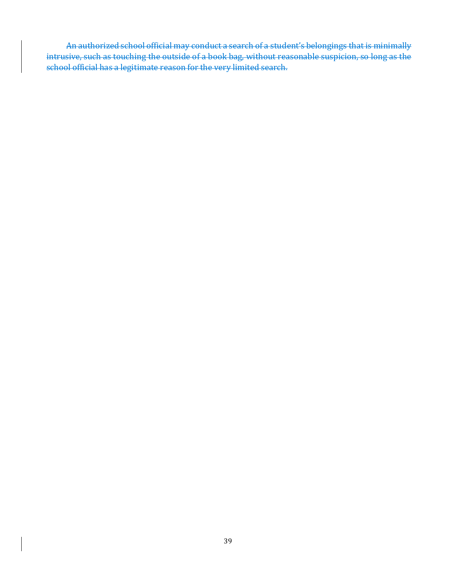An authorized school official may conduct a search of a student's belongings that is minimally intrusive, such as touching the outside of a book bag, without reasonable suspicion, so long as the school official has a legitimate reason for the very limited search.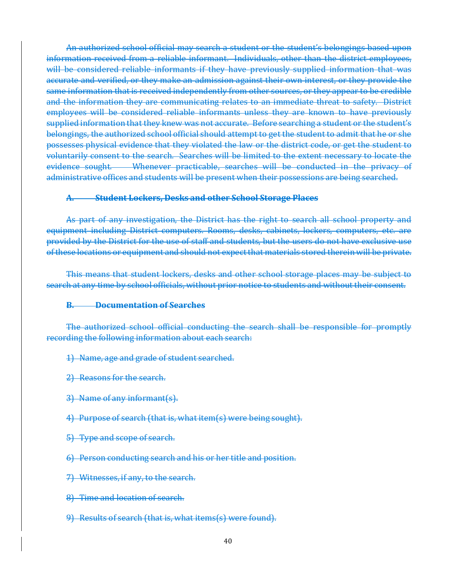An authorized school official may search a student or the student's belongings based upon information received from a reliable informant. Individuals, other than the district employees, will be considered reliable informants if they have previously supplied information that was accurate and verified, or they make an admission against their own interest, or they provide the same information that is received independently from other sources, or they appear to be credible and the information they are communicating relates to an immediate threat to safety. District employees will be considered reliable informants unless they are known to have previously supplied information that they knew was not accurate. Before searching a student or the student's belongings, the authorized school official should attempt to get the student to admit that he or she possesses physical evidence that they violated the law or the district code, or get the student to voluntarily consent to the search. Searches will be limited to the extent necessary to locate the evidence sought. Whenever practicable, searches will be conducted in the privacy of administrative offices and students will be present when their possessions are being searched.

#### **A. Student Lockers, Desks and other School Storage Places**

As part of any investigation, the District has the right to search all school property and equipment including District computers. Rooms, desks, cabinets, lockers, computers, etc. are provided by the District for the use of staff and students, but the users do not have exclusive use of these locations or equipment and should not expect that materials stored therein will be private.

This means that student lockers, desks and other school storage places may be subject to search at any time by school officials, without prior notice to students and without their consent.

#### **B. Documentation of Searches**

The authorized school official conducting the search shall be responsible for promptly recording the following information about each search:

#### 1) Name, age and grade of student searched.

- 2) Reasons for the search.
- 3) Name of any informant(s).
- 4) Purpose of search (that is, what item(s) were being sought).
- 5) Type and scope of search.
- 6) Person conducting search and his or her title and position.
- 7) Witnesses, if any, to the search.
- 8) Time and location of search.
- 9) Results of search (that is, what items(s) were found).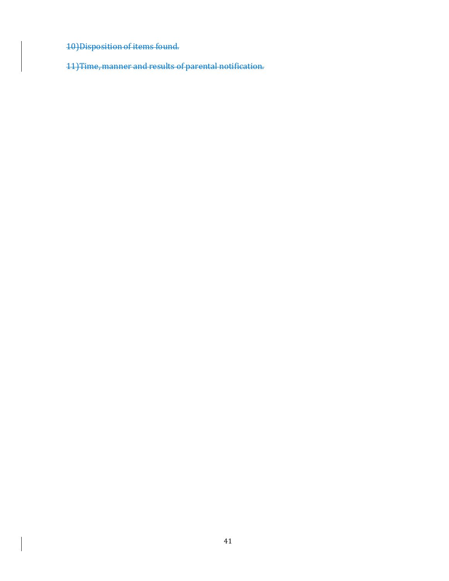10)Disposition of items found.

11)Time, manner and results of parental notification.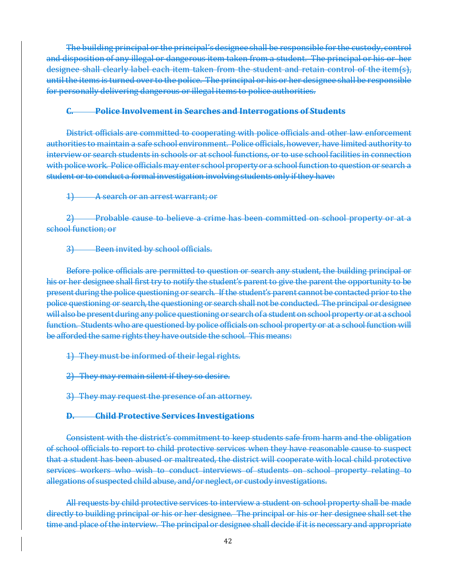The building principal or the principal's designee shall be responsible for the custody, control and disposition of any illegal or dangerous item taken from a student. The principal or his or her designee shall clearly label each item taken from the student and retain control of the item(s), until the items is turned over to the police. The principal or his or her designee shall be responsible for personally delivering dangerous or illegal items to police authorities.

#### **C. Police Involvementin Searches and Interrogations of Students**

District officials are committed to cooperating with police officials and other law enforcement authorities to maintain a safe school environment. Police officials, however, have limited authority to interview or search students in schools or at school functions, or to use school facilities in connection with police work. Police officials may enter school property or a school function to question or search a student or to conduct a formal investigation involving students only if they have:

1) A search or an arrest warrant; or

2) Probable cause to believe a crime has been committed on school property or at a school function; or

3) Been invited by school officials.

Before police officials are permitted to question or search any student, the building principal or his or her designee shall first try to notify the student's parent to give the parent the opportunity to be present during the police questioning or search. If the student's parent cannot be contacted prior to the police questioning or search, the questioning or search shall not be conducted. The principal or designee will also be present during any police questioning or search of a student on school property or at a school function. Students who are questioned by police officials on school property or at a school function will be afforded the same rights they have outside the school. This means:

1) They must be informed of their legal rights.

2) They may remain silent if they so desire.

3) They may request the presence of an attorney.

#### **D. Child Protective Services Investigations**

Consistent with the district's commitment to keep students safe from harm and the obligation of school officials to report to child protective services when they have reasonable cause to suspect that a student has been abused or maltreated, the district will cooperate with local child protective services workers who wish to conduct interviews of students on school property relating to allegations of suspected child abuse, and/or neglect, or custody investigations.

All requests by child protective services to interview a student on school property shall be made directly to building principal or his or her designee. The principal or his or her designee shall set the time and place of the interview. The principal or designee shall decide if it is necessary and appropriate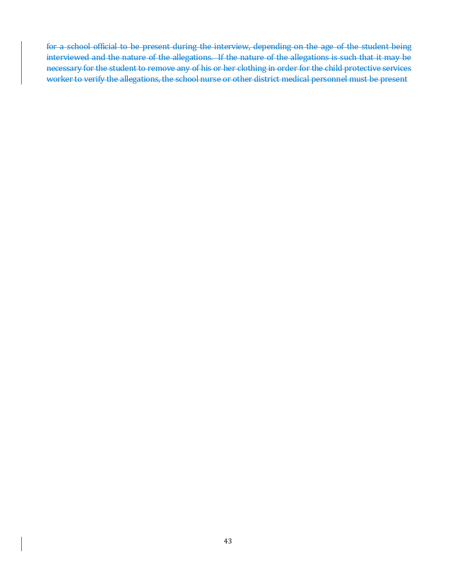for a school official to be present during the interview, depending on the age of the student being interviewed and the nature of the allegations. If the nature of the allegations is such that it may be necessary for the student to remove any of his or her clothing in order for the child protective services worker to verify the allegations, the school nurse or other district medical personnel must be present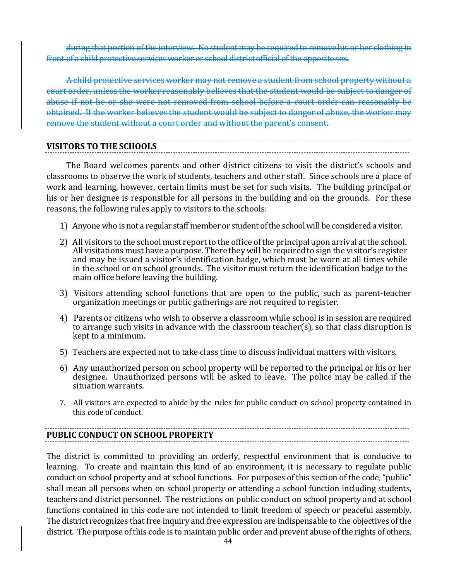during that portion of the interview. No student may be required to remove his or her clothing in front of a child protective services worker or school district official of the opposite sex.

A child protective services worker may not remove a student from school property without a court order, unless the worker reasonably believes that the student would be subject to danger of abuse if not he or she were not removed from school before a court order can reasonably be obtained. If the worker believes the student would be subject to danger of abuse, the worker may remove the student without a court order and without the parent's consent.

#### **VISITORS TO THE SCHOOLS**

The Board welcomes parents and other district citizens to visit the district's schools and classrooms to observe the work of students, teachers and other staff. Since schools are a place of work and learning, however, certain limits must be set for such visits. The building principal or his or her designee is responsible for all persons in the building and on the grounds. For these reasons, the following rules apply to visitors to the schools:

- 1) Anyone who is not a regular staff member or student of the school will be considered a visitor.
- 2) All visitors to the school must report to the office of the principal upon arrival at the school. All visitations must have a purpose. There they will be required to sign the visitor's register and may be issued a visitor's identification badge, which must be worn at all times while in the school or on school grounds. The visitor must return the identification badge to the main office before leaving the building.
- 3) Visitors attending school functions that are open to the public, such as parent-teacher organization meetings or public gatherings are not required to register.
- 4) Parents or citizens who wish to observe a classroom while school is in session are required to arrange such visits in advance with the classroom teacher(s), so that class disruption is kept to a minimum.
- 5) Teachers are expected not to take class time to discuss individual matters with visitors.
- 6) Any unauthorized person on school property will be reported to the principal or his or her designee. Unauthorized persons will be asked to leave. The police may be called if the situation warrants.
- 7. All visitors are expected to abide by the rules for public conduct on school property contained in this code of conduct.

### **PUBLIC CONDUCT ON SCHOOL PROPERTY**

The district is committed to providing an orderly, respectful environment that is conducive to learning. To create and maintain this kind of an environment, it is necessary to regulate public conduct on school property and at school functions. For purposes of this section of the code, "public" shall mean all persons when on school property or attending a school function including students, teachers and district personnel. The restrictions on public conduct on school property and at school functions contained in this code are not intended to limit freedom of speech or peaceful assembly. The district recognizes that free inquiry and free expression are indispensable to the objectives of the district. The purpose of this code is to maintain public order and prevent abuse of the rights of others.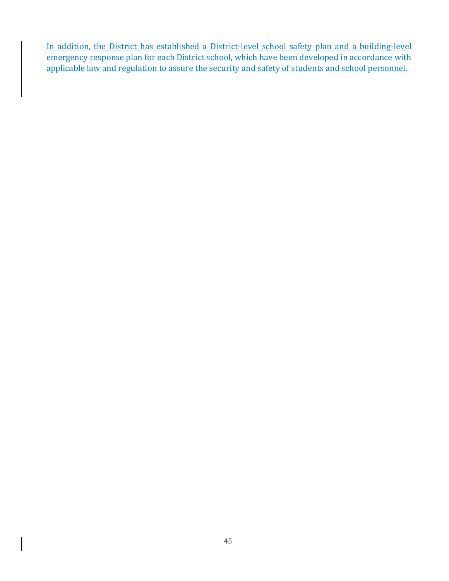In addition, the District has established a District-level school safety plan and a building-level emergency response plan for each District school, which have been developed in accordance with applicable law and regulation to assure the security and safety of students and school personnel.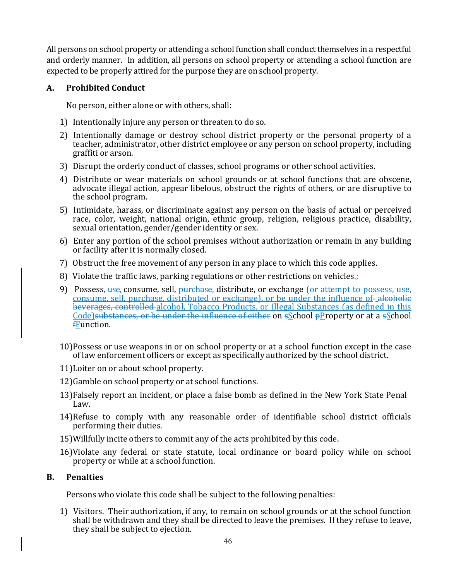All persons on school property or attending a school function shall conduct themselves in a respectful and orderly manner. In addition, all persons on school property or attending a school function are expected to be properly attired for the purpose they are on school property.

#### **A. Prohibited Conduct**

No person, either alone or with others, shall:

- 1) Intentionally injure any person or threaten to do so.
- 2) Intentionally damage or destroy school district property or the personal property of a teacher, administrator, other district employee or any person on school property, including graffiti or arson.
- 3) Disrupt the orderly conduct of classes, school programs or other school activities.
- 4) Distribute or wear materials on school grounds or at school functions that are obscene, advocate illegal action, appear libelous, obstruct the rights of others, or are disruptive to the school program.
- 5) Intimidate, harass, or discriminate against any person on the basis of actual or perceived race, color, weight, national origin, ethnic group, religion, religious practice, disability, sexual orientation, gender/gender identity or sex.
- 6) Enter any portion of the school premises without authorization or remain in any building or facility after it is normally closed.
- 7) Obstruct the free movement of any person in any place to which this code applies.
- 8) Violate the traffic laws, parking regulations or other restrictions on vehicles. $\frac{1}{4}$
- 9) Possess, use, consume, sell, purchase, distribute, or exchange (or attempt to possess, use, consume, sell, purchase, distributed or exchange), or be under the influence of alcoholic beverages, controlled alcohol, Tobacco Products, or Illegal Substances (as defined in this Code) substances, or be under the influence of either on sSchool pProperty or at a sSchool fFunction.
- 10)Possess or use weapons in or on school property or at a school function except in the case of law enforcement officers or except as specifically authorized by the school district.
- 11)Loiter on or about school property.
- 12)Gamble on school property or at school functions.
- 13)Falsely report an incident, or place a false bomb as defined in the New York State Penal Law.
- 14)Refuse to comply with any reasonable order of identifiable school district officials performing their duties.
- 15)Willfully incite others to commit any of the acts prohibited by this code.
- 16)Violate any federal or state statute, local ordinance or board policy while on school property or while at a school function.

#### **B. Penalties**

Persons who violate this code shall be subject to the following penalties:

1) Visitors. Their authorization, if any, to remain on school grounds or at the school function shall be withdrawn and they shall be directed to leave the premises. If they refuse to leave, they shall be subject to ejection.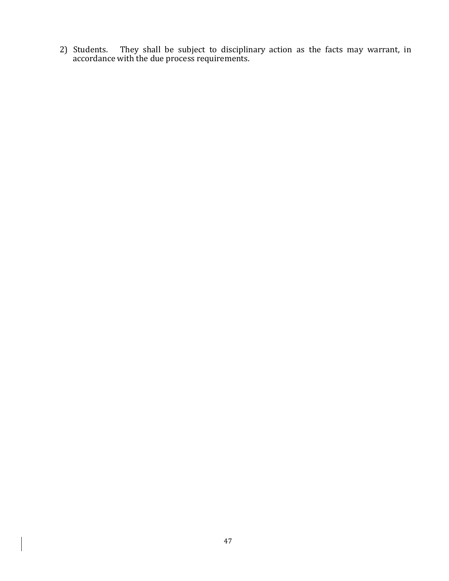2) Students. They shall be subject to disciplinary action as the facts may warrant, in accordance with the due process requirements.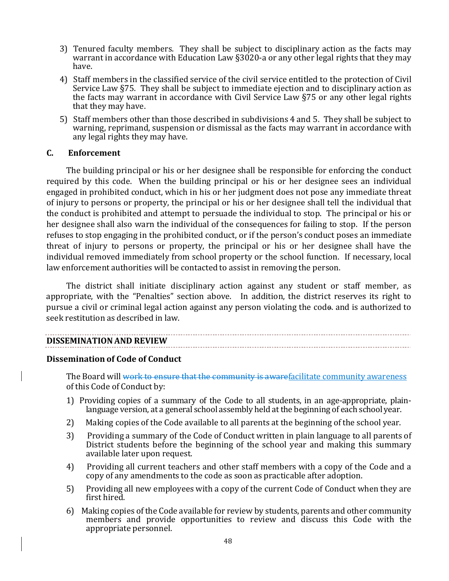- 3) Tenured faculty members. They shall be subject to disciplinary action as the facts may warrant in accordance with Education Law §3020-a or any other legal rights that they may have.
- 4) Staff members in the classified service of the civil service entitled to the protection of Civil Service Law §75. They shall be subject to immediate ejection and to disciplinary action as the facts may warrant in accordance with Civil Service Law §75 or any other legal rights that they may have.
- 5) Staff members other than those described in subdivisions 4 and 5. They shall be subject to warning, reprimand, suspension or dismissal as the facts may warrant in accordance with any legal rights they may have.

#### **C. Enforcement**

The building principal or his or her designee shall be responsible for enforcing the conduct required by this code. When the building principal or his or her designee sees an individual engaged in prohibited conduct, which in his or her judgment does not pose any immediate threat of injury to persons or property, the principal or his or her designee shall tell the individual that the conduct is prohibited and attempt to persuade the individual to stop. The principal or his or her designee shall also warn the individual of the consequences for failing to stop. If the person refuses to stop engaging in the prohibited conduct, or if the person's conduct poses an immediate threat of injury to persons or property, the principal or his or her designee shall have the individual removed immediately from school property or the school function. If necessary, local law enforcement authorities will be contacted to assist in removing the person.

The district shall initiate disciplinary action against any student or staff member, as appropriate, with the "Penalties" section above. In addition, the district reserves its right to pursue a civil or criminal legal action against any person violating the code. and is authorized to seek restitution as described in law.

#### **DISSEMINATION AND REVIEW**

#### **Dissemination of Code of Conduct**

The Board will work to ensure that the community is awarefacilitate community awareness of this Code of Conduct by:

- 1) Providing copies of a summary of the Code to all students, in an age-appropriate, plainlanguage version, at a general school assembly held at the beginning of each school year.
- 2) Making copies of the Code available to all parents at the beginning of the school year.
- 3) Providing a summary of the Code of Conduct written in plain language to all parents of District students before the beginning of the school year and making this summary available later upon request.
- 4) Providing all current teachers and other staff members with a copy of the Code and a copy of any amendments to the code as soon as practicable after adoption.
- 5) Providing all new employees with a copy of the current Code of Conduct when they are first hired.
- 6) Making copies of the Code available for review by students, parents and other community members and provide opportunities to review and discuss this Code with the appropriate personnel.